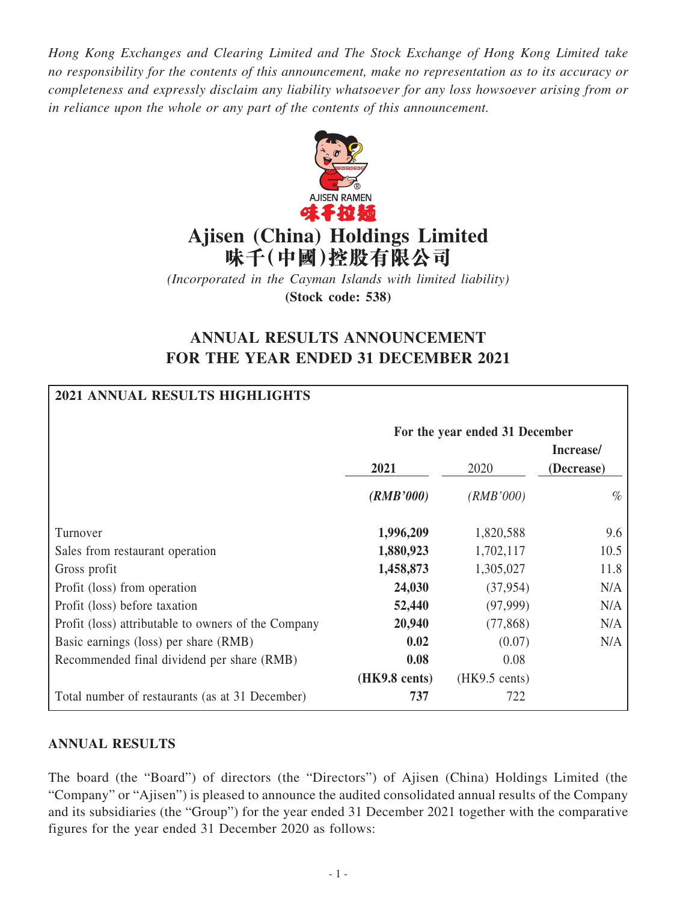*Hong Kong Exchanges and Clearing Limited and The Stock Exchange of Hong Kong Limited take no responsibility for the contents of this announcement, make no representation as to its accuracy or completeness and expressly disclaim any liability whatsoever for any loss howsoever arising from or in reliance upon the whole or any part of the contents of this announcement.*



# **Ajisen (China) Holdings Limited 味千(中國)控股有限公司**

*(Incorporated in the Cayman Islands with limited liability)* **(Stock code: 538)**

## **ANNUAL RESULTS ANNOUNCEMENT FOR THE YEAR ENDED 31 DECEMBER 2021**

## **2021 ANNUAL RESULTS HIGHLIGHTS**

|                                                     | For the year ended 31 December |                         |                         |  |  |
|-----------------------------------------------------|--------------------------------|-------------------------|-------------------------|--|--|
|                                                     | 2021                           | 2020                    | Increase/<br>(Decrease) |  |  |
|                                                     | (RMB'000)                      | (RMB'000)               | $\%$                    |  |  |
| Turnover                                            | 1,996,209                      | 1,820,588               | 9.6                     |  |  |
| Sales from restaurant operation                     | 1,880,923                      | 1,702,117               | 10.5                    |  |  |
| Gross profit                                        | 1,458,873                      | 1,305,027               | 11.8                    |  |  |
| Profit (loss) from operation                        | 24,030                         | (37, 954)               | N/A                     |  |  |
| Profit (loss) before taxation                       | 52,440                         | (97,999)                | N/A                     |  |  |
| Profit (loss) attributable to owners of the Company | 20,940                         | (77, 868)               | N/A                     |  |  |
| Basic earnings (loss) per share (RMB)               | 0.02                           | (0.07)                  | N/A                     |  |  |
| Recommended final dividend per share (RMB)          | 0.08                           | 0.08                    |                         |  |  |
|                                                     | $(HK9.8 \text{ cents})$        | $(HK9.5 \text{ cents})$ |                         |  |  |
| Total number of restaurants (as at 31 December)     | 737                            | 722                     |                         |  |  |

## **ANNUAL RESULTS**

The board (the "Board") of directors (the "Directors") of Ajisen (China) Holdings Limited (the "Company" or "Ajisen") is pleased to announce the audited consolidated annual results of the Company and its subsidiaries (the "Group") for the year ended 31 December 2021 together with the comparative figures for the year ended 31 December 2020 as follows: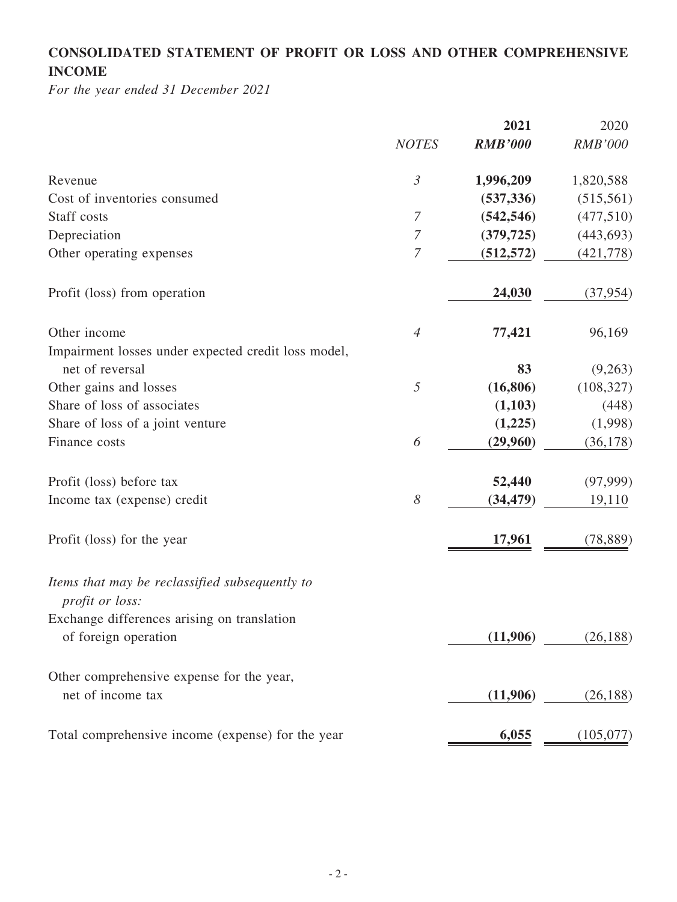## **CONSOLIDATED STATEMENT OF PROFIT OR LOSS AND OTHER COMPREHENSIVE INCOME**

*For the year ended 31 December 2021*

|                                                                     |                       | 2021           | 2020           |
|---------------------------------------------------------------------|-----------------------|----------------|----------------|
|                                                                     | <b>NOTES</b>          | <b>RMB'000</b> | <b>RMB'000</b> |
| Revenue                                                             | $\mathfrak{Z}$        | 1,996,209      | 1,820,588      |
| Cost of inventories consumed                                        |                       | (537, 336)     | (515, 561)     |
| Staff costs                                                         | $\overline{7}$        | (542, 546)     | (477,510)      |
| Depreciation                                                        | $\boldsymbol{7}$      | (379, 725)     | (443, 693)     |
| Other operating expenses                                            | $\overline{7}$        | (512, 572)     | (421,778)      |
| Profit (loss) from operation                                        |                       | 24,030         | (37, 954)      |
| Other income                                                        | $\overline{4}$        | 77,421         | 96,169         |
| Impairment losses under expected credit loss model,                 |                       |                |                |
| net of reversal                                                     |                       | 83             | (9,263)        |
| Other gains and losses                                              | 5                     | (16, 806)      | (108, 327)     |
| Share of loss of associates                                         |                       | (1,103)        | (448)          |
| Share of loss of a joint venture                                    |                       | (1,225)        | (1,998)        |
| Finance costs                                                       | 6                     | (29,960)       | (36, 178)      |
| Profit (loss) before tax                                            |                       | 52,440         | (97,999)       |
| Income tax (expense) credit                                         | $\boldsymbol{\delta}$ | (34, 479)      | 19,110         |
| Profit (loss) for the year                                          |                       | 17,961         | (78, 889)      |
| Items that may be reclassified subsequently to<br>profit or loss:   |                       |                |                |
| Exchange differences arising on translation<br>of foreign operation |                       | (11,906)       | (26, 188)      |
| Other comprehensive expense for the year,<br>net of income tax      |                       | (11,906)       | (26, 188)      |
| Total comprehensive income (expense) for the year                   |                       | 6,055          | (105,077)      |
|                                                                     |                       |                |                |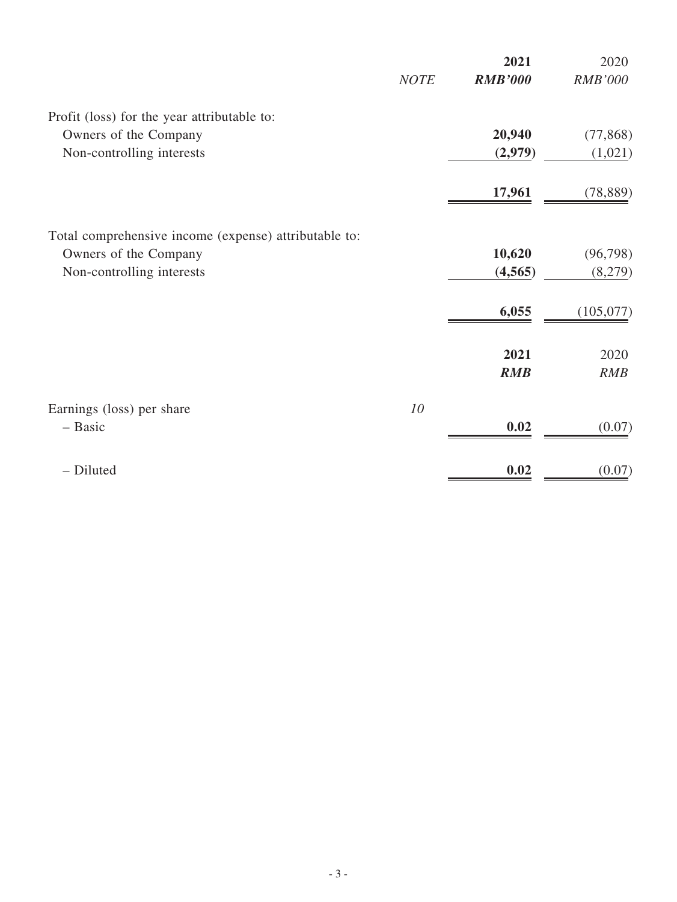|                                                       |             | 2021           | 2020      |
|-------------------------------------------------------|-------------|----------------|-----------|
|                                                       | <b>NOTE</b> | <b>RMB'000</b> | RMB'000   |
| Profit (loss) for the year attributable to:           |             |                |           |
| Owners of the Company                                 |             | 20,940         | (77, 868) |
| Non-controlling interests                             |             | (2,979)        | (1,021)   |
|                                                       |             | 17,961         | (78, 889) |
| Total comprehensive income (expense) attributable to: |             |                |           |
| Owners of the Company                                 |             | 10,620         | (96, 798) |
| Non-controlling interests                             |             | (4, 565)       | (8,279)   |
|                                                       |             | 6,055          | (105,077) |
|                                                       |             | 2021           | 2020      |
|                                                       |             | <b>RMB</b>     | RMB       |
| Earnings (loss) per share                             | 10          |                |           |
| - Basic                                               |             | 0.02           | (0.07)    |
| - Diluted                                             |             | 0.02           | (0.07)    |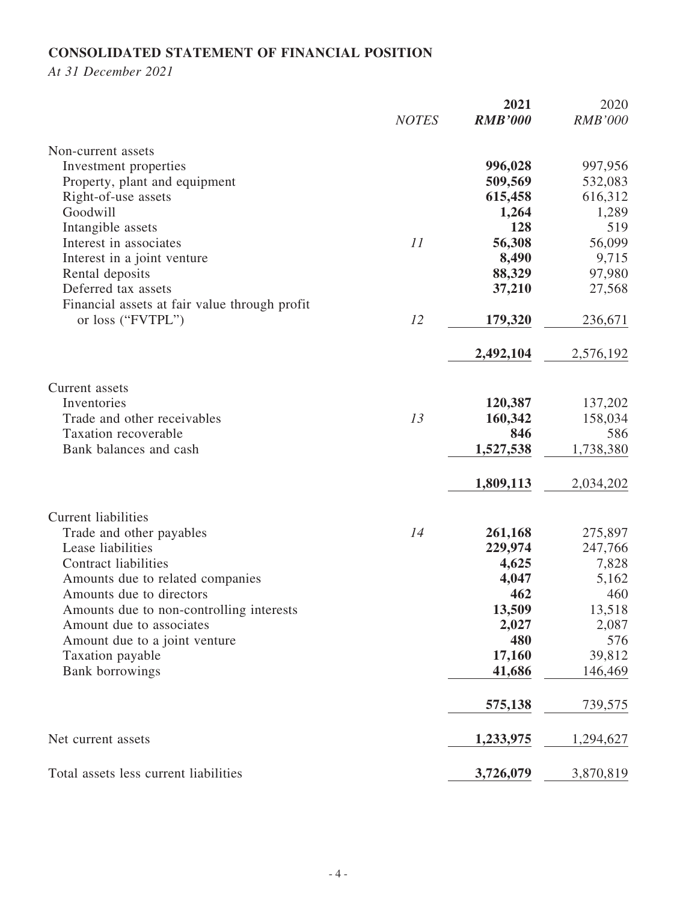## **CONSOLIDATED STATEMENT OF FINANCIAL POSITION**

*At 31 December 2021*

|                                               |              | 2021           | 2020           |
|-----------------------------------------------|--------------|----------------|----------------|
|                                               | <b>NOTES</b> | <b>RMB'000</b> | <b>RMB'000</b> |
| Non-current assets                            |              |                |                |
| Investment properties                         |              | 996,028        | 997,956        |
| Property, plant and equipment                 |              | 509,569        | 532,083        |
| Right-of-use assets                           |              | 615,458        | 616,312        |
| Goodwill                                      |              | 1,264          | 1,289          |
| Intangible assets                             |              | 128            | 519            |
| Interest in associates                        | 11           | 56,308         | 56,099         |
| Interest in a joint venture                   |              | 8,490          | 9,715          |
| Rental deposits                               |              | 88,329         | 97,980         |
| Deferred tax assets                           |              | 37,210         | 27,568         |
| Financial assets at fair value through profit |              |                |                |
| or loss ("FVTPL")                             | 12           | 179,320        | 236,671        |
|                                               |              |                |                |
|                                               |              | 2,492,104      | 2,576,192      |
| Current assets                                |              |                |                |
| Inventories                                   |              | 120,387        | 137,202        |
| Trade and other receivables                   | 13           | 160,342        | 158,034        |
| Taxation recoverable                          |              | 846            | 586            |
| Bank balances and cash                        |              | 1,527,538      | 1,738,380      |
|                                               |              |                |                |
|                                               |              | 1,809,113      | 2,034,202      |
| <b>Current liabilities</b>                    |              |                |                |
| Trade and other payables                      | 14           | 261,168        | 275,897        |
| Lease liabilities                             |              | 229,974        | 247,766        |
| <b>Contract liabilities</b>                   |              | 4,625          | 7,828          |
| Amounts due to related companies              |              | 4,047          | 5,162          |
| Amounts due to directors                      |              | 462            | 460            |
| Amounts due to non-controlling interests      |              | 13,509         | 13,518         |
| Amount due to associates                      |              | 2,027          | 2,087          |
| Amount due to a joint venture                 |              | 480            | 576            |
| Taxation payable                              |              | 17,160         | 39,812         |
| <b>Bank</b> borrowings                        |              | 41,686         | 146,469        |
|                                               |              | 575,138        | 739,575        |
| Net current assets                            |              | 1,233,975      | 1,294,627      |
| Total assets less current liabilities         |              | 3,726,079      | 3,870,819      |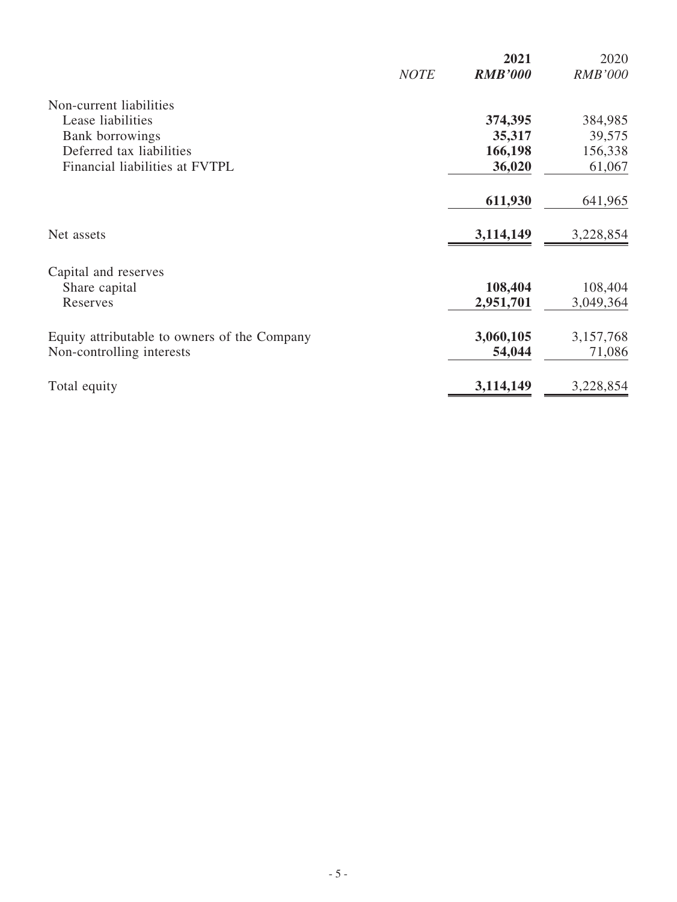|                                              | <b>NOTE</b> | 2021<br><b>RMB'000</b> | 2020<br><b>RMB'000</b> |
|----------------------------------------------|-------------|------------------------|------------------------|
|                                              |             |                        |                        |
| Non-current liabilities                      |             |                        |                        |
| Lease liabilities                            |             | 374,395                | 384,985                |
| <b>Bank</b> borrowings                       |             | 35,317                 | 39,575                 |
| Deferred tax liabilities                     |             | 166,198                | 156,338                |
| Financial liabilities at FVTPL               |             | 36,020                 | 61,067                 |
|                                              |             | 611,930                | 641,965                |
| Net assets                                   |             | 3,114,149              | 3,228,854              |
| Capital and reserves                         |             |                        |                        |
| Share capital                                |             | 108,404                | 108,404                |
| Reserves                                     |             | 2,951,701              | 3,049,364              |
| Equity attributable to owners of the Company |             | 3,060,105              | 3,157,768              |
| Non-controlling interests                    |             | 54,044                 | 71,086                 |
| Total equity                                 |             | 3,114,149              | 3,228,854              |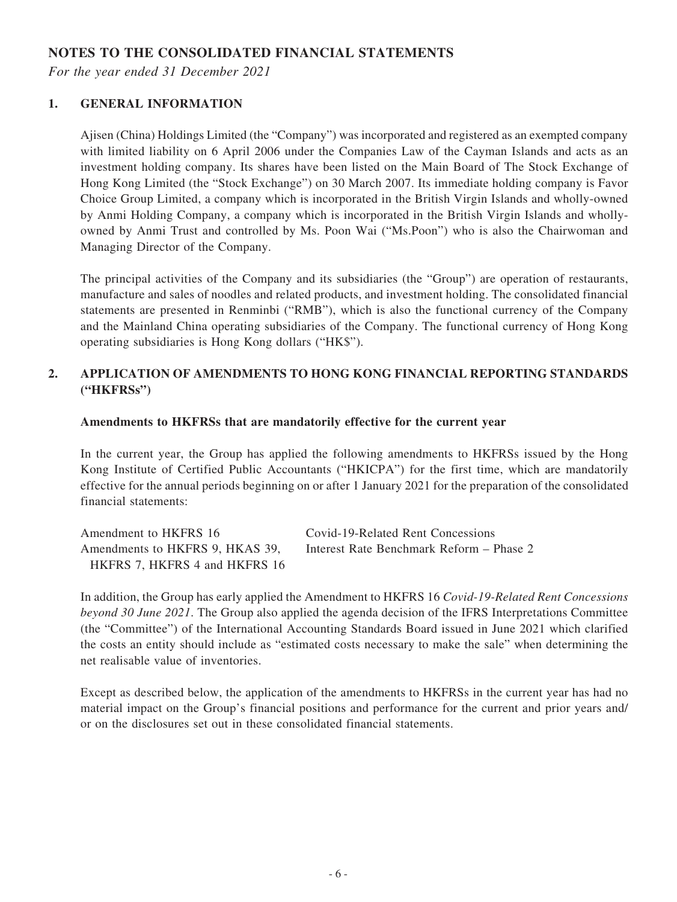## **NOTES TO THE CONSOLIDATED FINANCIAL STATEMENTS**

*For the year ended 31 December 2021*

#### **1. GENERAL INFORMATION**

Ajisen (China) Holdings Limited (the "Company") was incorporated and registered as an exempted company with limited liability on 6 April 2006 under the Companies Law of the Cayman Islands and acts as an investment holding company. Its shares have been listed on the Main Board of The Stock Exchange of Hong Kong Limited (the "Stock Exchange") on 30 March 2007. Its immediate holding company is Favor Choice Group Limited, a company which is incorporated in the British Virgin Islands and wholly-owned by Anmi Holding Company, a company which is incorporated in the British Virgin Islands and whollyowned by Anmi Trust and controlled by Ms. Poon Wai ("Ms.Poon") who is also the Chairwoman and Managing Director of the Company.

The principal activities of the Company and its subsidiaries (the "Group") are operation of restaurants, manufacture and sales of noodles and related products, and investment holding. The consolidated financial statements are presented in Renminbi ("RMB"), which is also the functional currency of the Company and the Mainland China operating subsidiaries of the Company. The functional currency of Hong Kong operating subsidiaries is Hong Kong dollars ("HK\$").

#### **2. APPLICATION OF AMENDMENTS TO HONG KONG FINANCIAL REPORTING STANDARDS ("HKFRSs")**

#### **Amendments to HKFRSs that are mandatorily effective for the current year**

In the current year, the Group has applied the following amendments to HKFRSs issued by the Hong Kong Institute of Certified Public Accountants ("HKICPA") for the first time, which are mandatorily effective for the annual periods beginning on or after 1 January 2021 for the preparation of the consolidated financial statements:

| Amendment to HKFRS 16           | Covid-19-Related Rent Concessions        |
|---------------------------------|------------------------------------------|
| Amendments to HKFRS 9, HKAS 39, | Interest Rate Benchmark Reform – Phase 2 |
| HKFRS 7, HKFRS 4 and HKFRS 16   |                                          |

In addition, the Group has early applied the Amendment to HKFRS 16 *Covid-19-Related Rent Concessions beyond 30 June 2021*. The Group also applied the agenda decision of the IFRS Interpretations Committee (the "Committee") of the International Accounting Standards Board issued in June 2021 which clarified the costs an entity should include as "estimated costs necessary to make the sale" when determining the net realisable value of inventories.

Except as described below, the application of the amendments to HKFRSs in the current year has had no material impact on the Group's financial positions and performance for the current and prior years and/ or on the disclosures set out in these consolidated financial statements.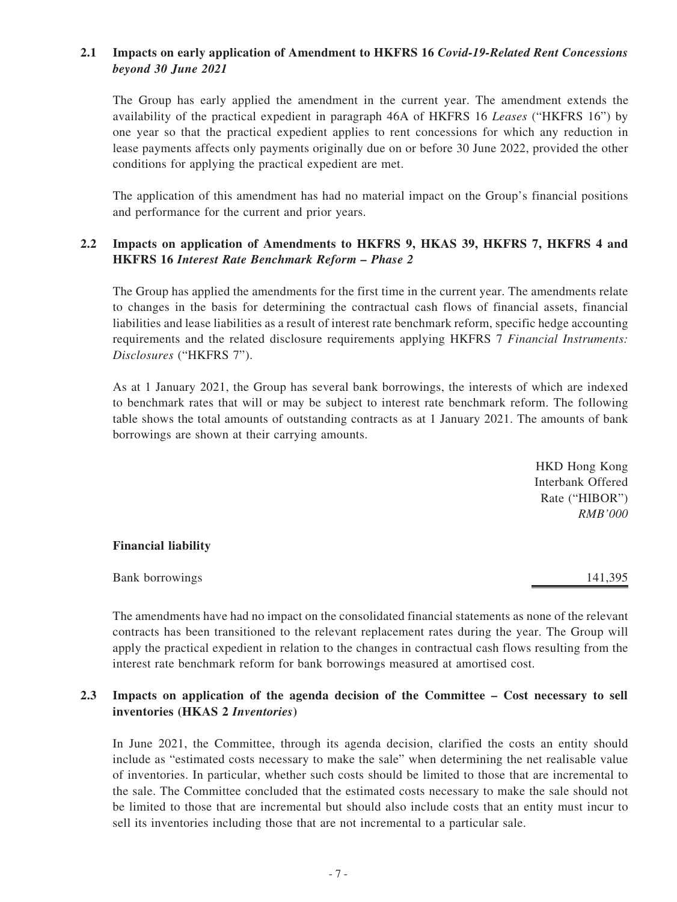#### **2.1 Impacts on early application of Amendment to HKFRS 16** *Covid-19-Related Rent Concessions beyond 30 June 2021*

The Group has early applied the amendment in the current year. The amendment extends the availability of the practical expedient in paragraph 46A of HKFRS 16 *Leases* ("HKFRS 16") by one year so that the practical expedient applies to rent concessions for which any reduction in lease payments affects only payments originally due on or before 30 June 2022, provided the other conditions for applying the practical expedient are met.

The application of this amendment has had no material impact on the Group's financial positions and performance for the current and prior years.

#### **2.2 Impacts on application of Amendments to HKFRS 9, HKAS 39, HKFRS 7, HKFRS 4 and HKFRS 16** *Interest Rate Benchmark Reform – Phase 2*

The Group has applied the amendments for the first time in the current year. The amendments relate to changes in the basis for determining the contractual cash flows of financial assets, financial liabilities and lease liabilities as a result of interest rate benchmark reform, specific hedge accounting requirements and the related disclosure requirements applying HKFRS 7 *Financial Instruments: Disclosures* ("HKFRS 7").

As at 1 January 2021, the Group has several bank borrowings, the interests of which are indexed to benchmark rates that will or may be subject to interest rate benchmark reform. The following table shows the total amounts of outstanding contracts as at 1 January 2021. The amounts of bank borrowings are shown at their carrying amounts.

> HKD Hong Kong Interbank Offered Rate ("HIBOR") *RMB'000*

#### **Financial liability**

Bank borrowings 141,395

The amendments have had no impact on the consolidated financial statements as none of the relevant contracts has been transitioned to the relevant replacement rates during the year. The Group will apply the practical expedient in relation to the changes in contractual cash flows resulting from the interest rate benchmark reform for bank borrowings measured at amortised cost.

#### **2.3 Impacts on application of the agenda decision of the Committee – Cost necessary to sell inventories (HKAS 2** *Inventories***)**

In June 2021, the Committee, through its agenda decision, clarified the costs an entity should include as "estimated costs necessary to make the sale" when determining the net realisable value of inventories. In particular, whether such costs should be limited to those that are incremental to the sale. The Committee concluded that the estimated costs necessary to make the sale should not be limited to those that are incremental but should also include costs that an entity must incur to sell its inventories including those that are not incremental to a particular sale.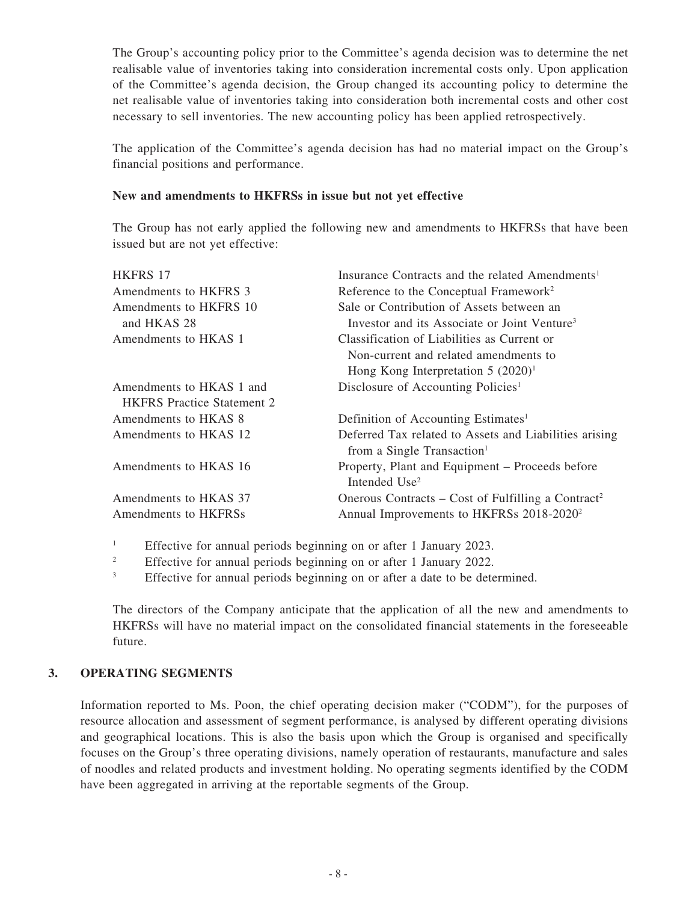The Group's accounting policy prior to the Committee's agenda decision was to determine the net realisable value of inventories taking into consideration incremental costs only. Upon application of the Committee's agenda decision, the Group changed its accounting policy to determine the net realisable value of inventories taking into consideration both incremental costs and other cost necessary to sell inventories. The new accounting policy has been applied retrospectively.

The application of the Committee's agenda decision has had no material impact on the Group's financial positions and performance.

#### **New and amendments to HKFRSs in issue but not yet effective**

The Group has not early applied the following new and amendments to HKFRSs that have been issued but are not yet effective:

| <b>HKFRS 17</b>                   | Insurance Contracts and the related Amendments <sup>1</sup>                                      |
|-----------------------------------|--------------------------------------------------------------------------------------------------|
| Amendments to HKFRS 3             | Reference to the Conceptual Framework <sup>2</sup>                                               |
| Amendments to HKFRS 10            | Sale or Contribution of Assets between an                                                        |
| and HKAS 28                       | Investor and its Associate or Joint Venture <sup>3</sup>                                         |
| Amendments to HKAS 1              | Classification of Liabilities as Current or                                                      |
|                                   | Non-current and related amendments to                                                            |
|                                   | Hong Kong Interpretation $5 (2020)^1$                                                            |
| Amendments to HKAS 1 and          | Disclosure of Accounting Policies <sup>1</sup>                                                   |
| <b>HKFRS</b> Practice Statement 2 |                                                                                                  |
| Amendments to HKAS 8              | Definition of Accounting Estimates <sup>1</sup>                                                  |
| Amendments to HKAS 12             | Deferred Tax related to Assets and Liabilities arising<br>from a Single Transaction <sup>1</sup> |
| Amendments to HKAS 16             | Property, Plant and Equipment – Proceeds before<br>Intended Use <sup>2</sup>                     |
| Amendments to HKAS 37             | Onerous Contracts – Cost of Fulfilling a Contract <sup>2</sup>                                   |
| Amendments to HKFRSs              | Annual Improvements to HKFRSs 2018-2020 <sup>2</sup>                                             |
|                                   |                                                                                                  |

<sup>1</sup> Effective for annual periods beginning on or after 1 January 2023.

<sup>2</sup> Effective for annual periods beginning on or after 1 January 2022.

<sup>3</sup> Effective for annual periods beginning on or after a date to be determined.

The directors of the Company anticipate that the application of all the new and amendments to HKFRSs will have no material impact on the consolidated financial statements in the foreseeable future.

#### **3. OPERATING SEGMENTS**

Information reported to Ms. Poon, the chief operating decision maker ("CODM"), for the purposes of resource allocation and assessment of segment performance, is analysed by different operating divisions and geographical locations. This is also the basis upon which the Group is organised and specifically focuses on the Group's three operating divisions, namely operation of restaurants, manufacture and sales of noodles and related products and investment holding. No operating segments identified by the CODM have been aggregated in arriving at the reportable segments of the Group.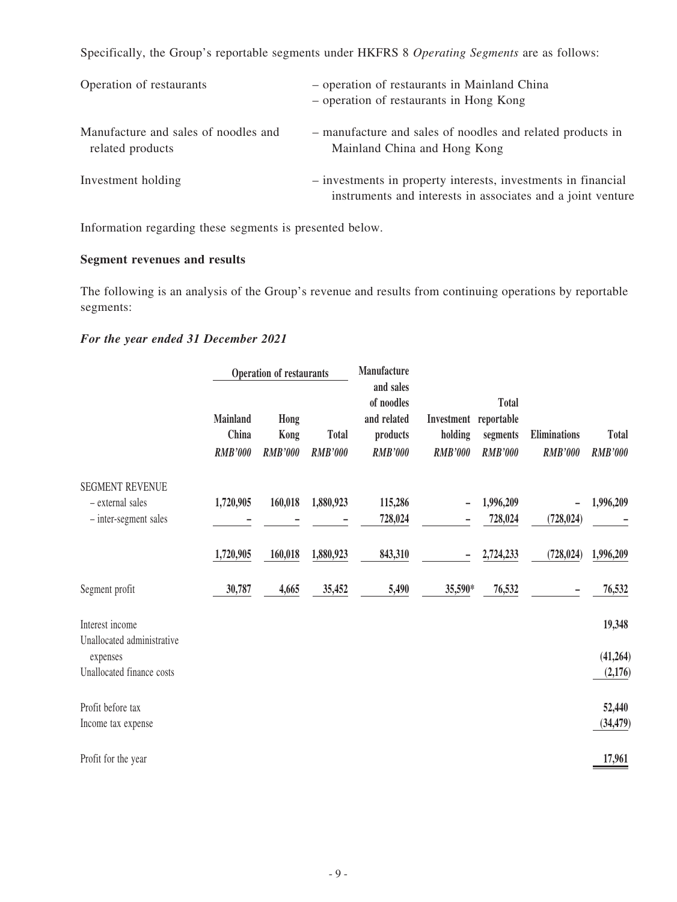Specifically, the Group's reportable segments under HKFRS 8 *Operating Segments* are as follows:

| Operation of restaurants                                 | - operation of restaurants in Mainland China<br>- operation of restaurants in Hong Kong                                      |
|----------------------------------------------------------|------------------------------------------------------------------------------------------------------------------------------|
| Manufacture and sales of noodles and<br>related products | - manufacture and sales of noodles and related products in<br>Mainland China and Hong Kong                                   |
| Investment holding                                       | - investments in property interests, investments in financial<br>instruments and interests in associates and a joint venture |

Information regarding these segments is presented below.

#### **Segment revenues and results**

The following is an analysis of the Group's revenue and results from continuing operations by reportable segments:

### *For the year ended 31 December 2021*

|                                               | <b>Operation of restaurants</b>     |                                |                                | Manufacture                                                          |                                                    |                                            |                                |                                |  |
|-----------------------------------------------|-------------------------------------|--------------------------------|--------------------------------|----------------------------------------------------------------------|----------------------------------------------------|--------------------------------------------|--------------------------------|--------------------------------|--|
|                                               | Mainland<br>China<br><b>RMB'000</b> | Hong<br>Kong<br><b>RMB'000</b> | <b>Total</b><br><b>RMB'000</b> | and sales<br>of noodles<br>and related<br>products<br><b>RMB'000</b> | Investment reportable<br>holding<br><b>RMB'000</b> | <b>Total</b><br>segments<br><b>RMB'000</b> | Eliminations<br><b>RMB'000</b> | <b>Total</b><br><b>RMB'000</b> |  |
| <b>SEGMENT REVENUE</b><br>- external sales    | 1,720,905                           | 160,018                        | 1,880,923                      | 115,286                                                              |                                                    | 1,996,209                                  |                                | 1,996,209                      |  |
| - inter-segment sales                         |                                     |                                |                                | 728,024                                                              |                                                    | 728,024                                    | (728, 024)                     |                                |  |
|                                               | 1,720,905                           | 160,018                        | 1,880,923                      | 843,310                                                              |                                                    | 2,724,233                                  | (728, 024)                     | 1,996,209                      |  |
| Segment profit                                | 30,787                              | 4,665                          | 35,452                         | 5,490                                                                | 35,590*                                            | 76,532                                     |                                | 76,532                         |  |
| Interest income<br>Unallocated administrative |                                     |                                |                                |                                                                      |                                                    |                                            |                                | 19,348                         |  |
| expenses                                      |                                     |                                |                                |                                                                      |                                                    |                                            |                                | (41,264)                       |  |
| Unallocated finance costs                     |                                     |                                |                                |                                                                      |                                                    |                                            |                                | (2,176)                        |  |
| Profit before tax                             |                                     |                                |                                |                                                                      |                                                    |                                            |                                | 52,440                         |  |
| Income tax expense                            |                                     |                                |                                |                                                                      |                                                    |                                            |                                | (34, 479)                      |  |
| Profit for the year                           |                                     |                                |                                |                                                                      |                                                    |                                            |                                | 17,961                         |  |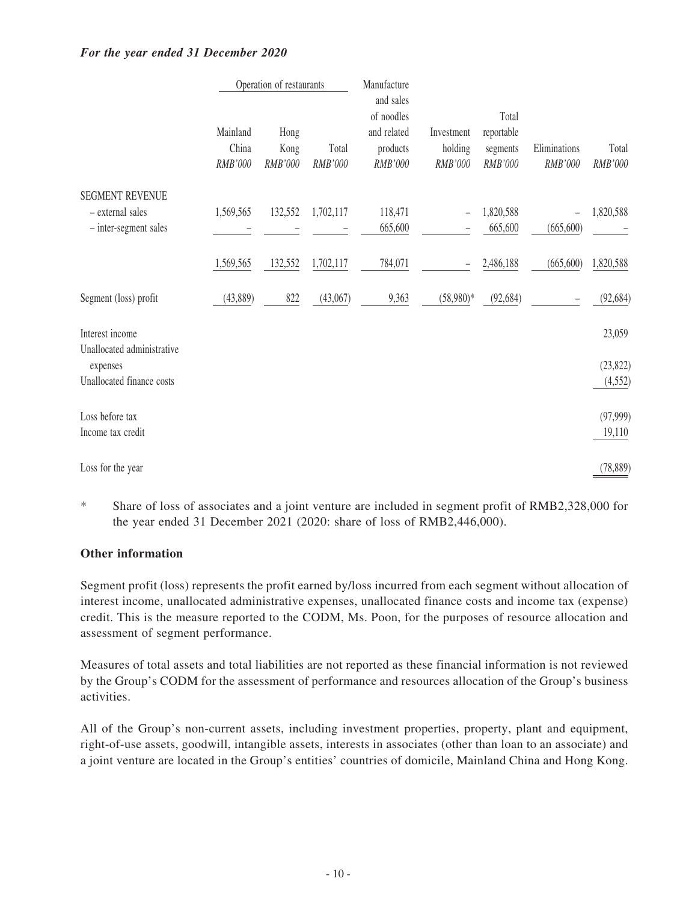#### *For the year ended 31 December 2020*

|                                               | Operation of restaurants     |                         |                  | Manufacture                                                   |                                  |                                            |                         |                  |
|-----------------------------------------------|------------------------------|-------------------------|------------------|---------------------------------------------------------------|----------------------------------|--------------------------------------------|-------------------------|------------------|
|                                               | Mainland<br>China<br>RMB'000 | Hong<br>Kong<br>RMB'000 | Total<br>RMB'000 | and sales<br>of noodles<br>and related<br>products<br>RMB'000 | Investment<br>holding<br>RMB'000 | Total<br>reportable<br>segments<br>RMB'000 | Eliminations<br>RMB'000 | Total<br>RMB'000 |
| <b>SEGMENT REVENUE</b>                        |                              |                         |                  |                                                               |                                  |                                            |                         |                  |
| - external sales                              | 1,569,565                    | 132,552                 | 1,702,117        | 118,471                                                       |                                  | 1,820,588                                  |                         | 1,820,588        |
| - inter-segment sales                         |                              |                         |                  | 665,600                                                       |                                  | 665,600                                    | (665, 600)              |                  |
|                                               | 1,569,565                    | 132,552                 | 1,702,117        | 784,071                                                       |                                  | 2,486,188                                  | (665, 600)              | 1,820,588        |
| Segment (loss) profit                         | (43,889)                     | 822                     | (43,067)         | 9,363                                                         | $(58,980)*$                      | (92, 684)                                  |                         | (92, 684)        |
| Interest income<br>Unallocated administrative |                              |                         |                  |                                                               |                                  |                                            |                         | 23,059           |
| expenses                                      |                              |                         |                  |                                                               |                                  |                                            |                         | (23, 822)        |
| Unallocated finance costs                     |                              |                         |                  |                                                               |                                  |                                            |                         | (4, 552)         |
| Loss before tax                               |                              |                         |                  |                                                               |                                  |                                            |                         | (97, 999)        |
| Income tax credit                             |                              |                         |                  |                                                               |                                  |                                            |                         | 19,110           |
| Loss for the year                             |                              |                         |                  |                                                               |                                  |                                            |                         | (78, 889)        |

\* Share of loss of associates and a joint venture are included in segment profit of RMB2,328,000 for the year ended 31 December 2021 (2020: share of loss of RMB2,446,000).

#### **Other information**

Segment profit (loss) represents the profit earned by/loss incurred from each segment without allocation of interest income, unallocated administrative expenses, unallocated finance costs and income tax (expense) credit. This is the measure reported to the CODM, Ms. Poon, for the purposes of resource allocation and assessment of segment performance.

Measures of total assets and total liabilities are not reported as these financial information is not reviewed by the Group's CODM for the assessment of performance and resources allocation of the Group's business activities.

All of the Group's non-current assets, including investment properties, property, plant and equipment, right-of-use assets, goodwill, intangible assets, interests in associates (other than loan to an associate) and a joint venture are located in the Group's entities' countries of domicile, Mainland China and Hong Kong.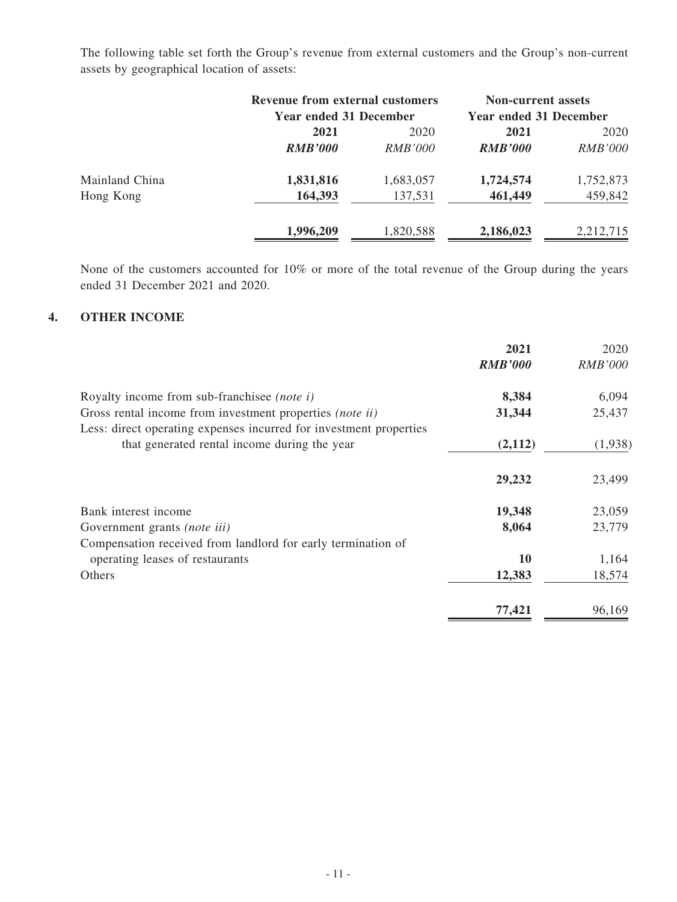The following table set forth the Group's revenue from external customers and the Group's non-current assets by geographical location of assets:

|                | <b>Revenue from external customers</b><br><b>Year ended 31 December</b> |                | <b>Non-current assets</b><br><b>Year ended 31 December</b> |                |
|----------------|-------------------------------------------------------------------------|----------------|------------------------------------------------------------|----------------|
|                | 2021                                                                    | 2020           |                                                            | 2020           |
|                | <b>RMB'000</b>                                                          | <i>RMB'000</i> | <b>RMB'000</b>                                             | <i>RMB'000</i> |
| Mainland China | 1,831,816                                                               | 1,683,057      | 1,724,574                                                  | 1,752,873      |
| Hong Kong      | 164,393                                                                 | 137,531        | 461,449                                                    | 459,842        |
|                | 1,996,209                                                               | 1,820,588      | 2,186,023                                                  | 2,212,715      |

None of the customers accounted for 10% or more of the total revenue of the Group during the years ended 31 December 2021 and 2020.

#### **4. OTHER INCOME**

|                                                                                                                                | 2021<br><b>RMB'000</b> | 2020<br><b>RMB'000</b> |
|--------------------------------------------------------------------------------------------------------------------------------|------------------------|------------------------|
|                                                                                                                                |                        |                        |
| Royalty income from sub-franchise (note i)                                                                                     | 8,384                  | 6,094                  |
| Gross rental income from investment properties (note ii)<br>Less: direct operating expenses incurred for investment properties | 31,344                 | 25,437                 |
| that generated rental income during the year                                                                                   | (2,112)                | (1,938)                |
|                                                                                                                                | 29,232                 | 23,499                 |
| Bank interest income                                                                                                           | 19,348                 | 23,059                 |
| Government grants (note iii)                                                                                                   | 8,064                  | 23,779                 |
| Compensation received from landlord for early termination of                                                                   |                        |                        |
| operating leases of restaurants                                                                                                | <b>10</b>              | 1,164                  |
| Others                                                                                                                         | 12,383                 | 18,574                 |
|                                                                                                                                | 77,421                 | 96,169                 |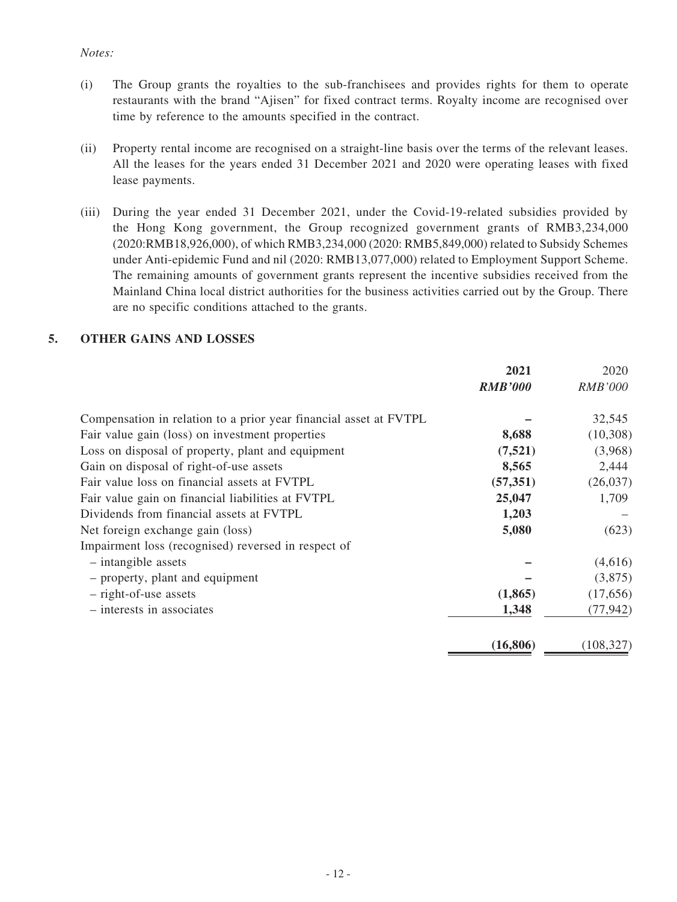#### *Notes:*

- (i) The Group grants the royalties to the sub-franchisees and provides rights for them to operate restaurants with the brand "Ajisen" for fixed contract terms. Royalty income are recognised over time by reference to the amounts specified in the contract.
- (ii) Property rental income are recognised on a straight-line basis over the terms of the relevant leases. All the leases for the years ended 31 December 2021 and 2020 were operating leases with fixed lease payments.
- (iii) During the year ended 31 December 2021, under the Covid-19-related subsidies provided by the Hong Kong government, the Group recognized government grants of RMB3,234,000 (2020:RMB18,926,000), of which RMB3,234,000 (2020: RMB5,849,000) related to Subsidy Schemes under Anti-epidemic Fund and nil (2020: RMB13,077,000) related to Employment Support Scheme. The remaining amounts of government grants represent the incentive subsidies received from the Mainland China local district authorities for the business activities carried out by the Group. There are no specific conditions attached to the grants.

#### **5. OTHER GAINS AND LOSSES**

|                                                                   | 2021           | 2020           |
|-------------------------------------------------------------------|----------------|----------------|
|                                                                   | <b>RMB'000</b> | <b>RMB'000</b> |
| Compensation in relation to a prior year financial asset at FVTPL |                | 32,545         |
| Fair value gain (loss) on investment properties                   | 8,688          | (10,308)       |
| Loss on disposal of property, plant and equipment                 | (7,521)        | (3,968)        |
| Gain on disposal of right-of-use assets                           | 8,565          | 2,444          |
| Fair value loss on financial assets at FVTPL                      | (57, 351)      | (26,037)       |
| Fair value gain on financial liabilities at FVTPL                 | 25,047         | 1,709          |
| Dividends from financial assets at FVTPL                          | 1,203          |                |
| Net foreign exchange gain (loss)                                  | 5,080          | (623)          |
| Impairment loss (recognised) reversed in respect of               |                |                |
| $-$ intangible assets                                             |                | (4,616)        |
| - property, plant and equipment                                   |                | (3,875)        |
| - right-of-use assets                                             | (1,865)        | (17,656)       |
| - interests in associates                                         | 1,348          | (77, 942)      |
|                                                                   | (16, 806)      | (108, 327)     |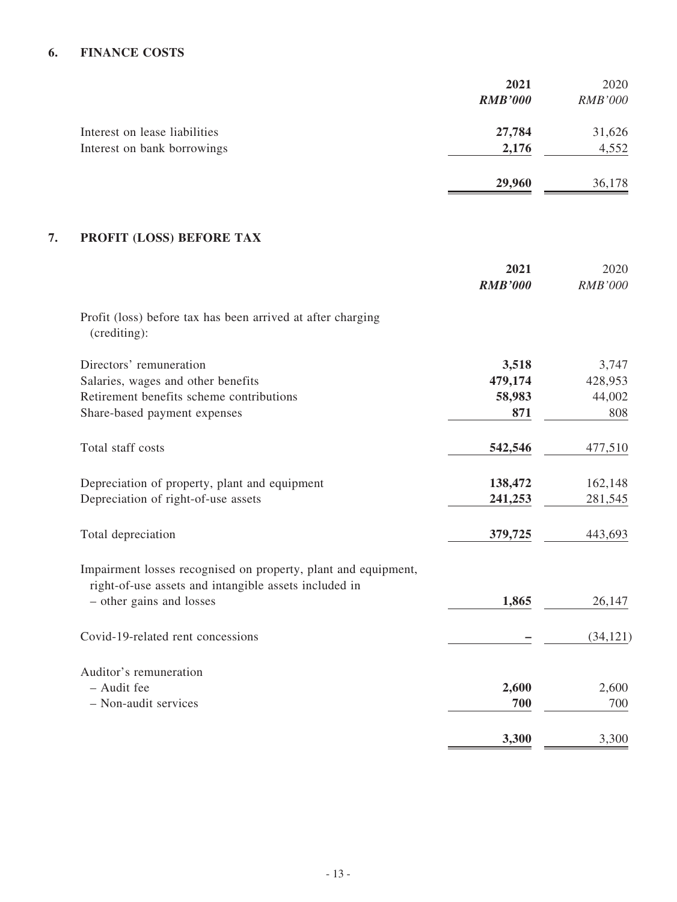## **6. FINANCE COSTS**

|                               | 2021           | 2020           |
|-------------------------------|----------------|----------------|
|                               | <b>RMB'000</b> | <b>RMB'000</b> |
| Interest on lease liabilities | 27,784         | 31,626         |
| Interest on bank borrowings   | 2,176          | 4,552          |
|                               | 29,960         | 36,178         |

## **7. PROFIT (LOSS) BEFORE TAX**

|                                                                                                                         | 2021<br><b>RMB'000</b> | 2020<br>RMB'000 |
|-------------------------------------------------------------------------------------------------------------------------|------------------------|-----------------|
| Profit (loss) before tax has been arrived at after charging<br>(crediting):                                             |                        |                 |
| Directors' remuneration                                                                                                 | 3,518                  | 3,747           |
| Salaries, wages and other benefits                                                                                      | 479,174                | 428,953         |
| Retirement benefits scheme contributions                                                                                | 58,983                 | 44,002          |
| Share-based payment expenses                                                                                            | 871                    | 808             |
| Total staff costs                                                                                                       | 542,546                | 477,510         |
| Depreciation of property, plant and equipment                                                                           | 138,472                | 162,148         |
| Depreciation of right-of-use assets                                                                                     | 241,253                | 281,545         |
| Total depreciation                                                                                                      | 379,725                | 443,693         |
| Impairment losses recognised on property, plant and equipment,<br>right-of-use assets and intangible assets included in |                        |                 |
| - other gains and losses                                                                                                | 1,865                  | 26,147          |
| Covid-19-related rent concessions                                                                                       |                        | (34, 121)       |
| Auditor's remuneration                                                                                                  |                        |                 |
| - Audit fee                                                                                                             | 2,600                  | 2,600           |
| - Non-audit services                                                                                                    | 700                    | 700             |
|                                                                                                                         | 3,300                  | 3,300           |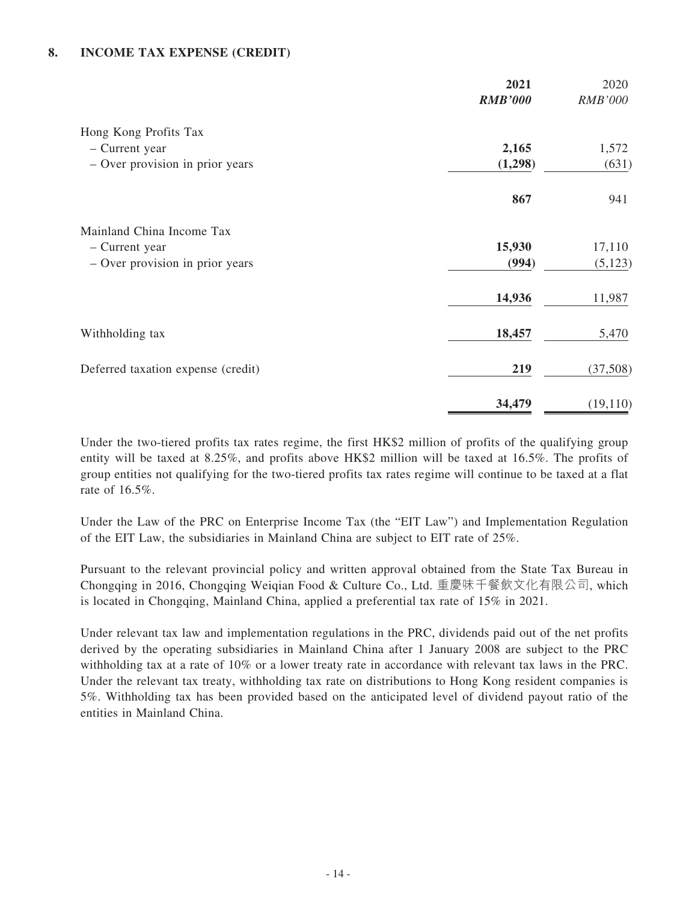#### **8. INCOME TAX EXPENSE (CREDIT)**

|                                    | 2021           | 2020           |
|------------------------------------|----------------|----------------|
|                                    | <b>RMB'000</b> | <b>RMB'000</b> |
| Hong Kong Profits Tax              |                |                |
| - Current year                     | 2,165          | 1,572          |
| - Over provision in prior years    | (1,298)        | (631)          |
|                                    | 867            | 941            |
| Mainland China Income Tax          |                |                |
| - Current year                     | 15,930         | 17,110         |
| - Over provision in prior years    | (994)          | (5, 123)       |
|                                    | 14,936         | 11,987         |
| Withholding tax                    | 18,457         | 5,470          |
| Deferred taxation expense (credit) | 219            | (37,508)       |
|                                    | 34,479         | (19, 110)      |

Under the two-tiered profits tax rates regime, the first HK\$2 million of profits of the qualifying group entity will be taxed at 8.25%, and profits above HK\$2 million will be taxed at 16.5%. The profits of group entities not qualifying for the two-tiered profits tax rates regime will continue to be taxed at a flat rate of 16.5%.

Under the Law of the PRC on Enterprise Income Tax (the "EIT Law") and Implementation Regulation of the EIT Law, the subsidiaries in Mainland China are subject to EIT rate of 25%.

Pursuant to the relevant provincial policy and written approval obtained from the State Tax Bureau in Chongqing in 2016, Chongqing Weiqian Food & Culture Co., Ltd. 重慶味千餐飲文化有限公司, which is located in Chongqing, Mainland China, applied a preferential tax rate of 15% in 2021.

Under relevant tax law and implementation regulations in the PRC, dividends paid out of the net profits derived by the operating subsidiaries in Mainland China after 1 January 2008 are subject to the PRC withholding tax at a rate of 10% or a lower treaty rate in accordance with relevant tax laws in the PRC. Under the relevant tax treaty, withholding tax rate on distributions to Hong Kong resident companies is 5%. Withholding tax has been provided based on the anticipated level of dividend payout ratio of the entities in Mainland China.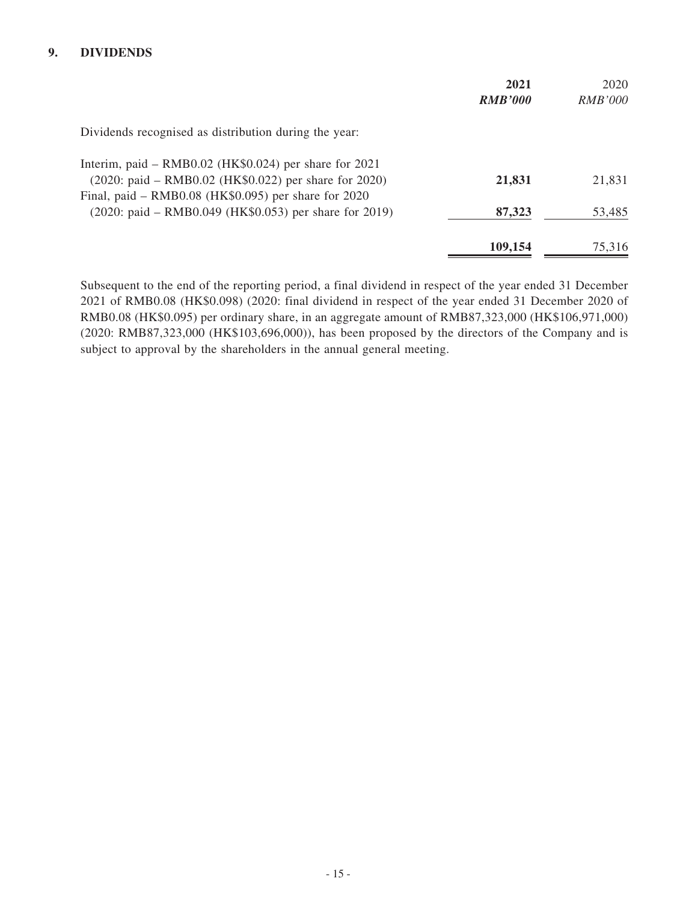#### **9. DIVIDENDS**

|                                                         | 2021           | 2020           |
|---------------------------------------------------------|----------------|----------------|
|                                                         | <b>RMB'000</b> | <i>RMB'000</i> |
| Dividends recognised as distribution during the year:   |                |                |
| Interim, paid – RMB0.02 (HK\$0.024) per share for 2021  |                |                |
| (2020: paid – RMB0.02 (HK\$0.022) per share for 2020)   | 21,831         | 21,831         |
| Final, paid – RMB0.08 (HK $$0.095$ ) per share for 2020 |                |                |
| (2020: paid – RMB0.049 (HK\$0.053) per share for 2019)  | 87,323         | 53,485         |
|                                                         | 109,154        | 75,316         |

Subsequent to the end of the reporting period, a final dividend in respect of the year ended 31 December 2021 of RMB0.08 (HK\$0.098) (2020: final dividend in respect of the year ended 31 December 2020 of RMB0.08 (HK\$0.095) per ordinary share, in an aggregate amount of RMB87,323,000 (HK\$106,971,000) (2020: RMB87,323,000 (HK\$103,696,000)), has been proposed by the directors of the Company and is subject to approval by the shareholders in the annual general meeting.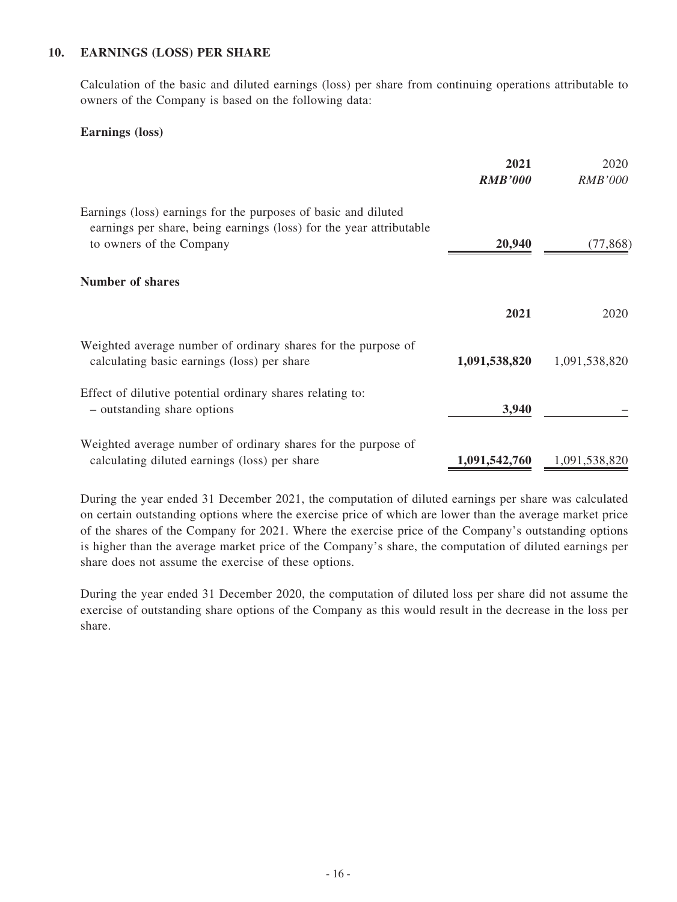#### **10. EARNINGS (LOSS) PER SHARE**

Calculation of the basic and diluted earnings (loss) per share from continuing operations attributable to owners of the Company is based on the following data:

#### **Earnings (loss)**

|                                                                                                                                                                   | 2021<br><b>RMB'000</b> | 2020<br><i>RMB'000</i> |
|-------------------------------------------------------------------------------------------------------------------------------------------------------------------|------------------------|------------------------|
| Earnings (loss) earnings for the purposes of basic and diluted<br>earnings per share, being earnings (loss) for the year attributable<br>to owners of the Company | 20,940                 | (77, 868)              |
| <b>Number of shares</b>                                                                                                                                           |                        |                        |
|                                                                                                                                                                   | 2021                   | 2020                   |
| Weighted average number of ordinary shares for the purpose of<br>calculating basic earnings (loss) per share                                                      | 1,091,538,820          | 1,091,538,820          |
| Effect of dilutive potential ordinary shares relating to:<br>- outstanding share options                                                                          | 3,940                  |                        |
| Weighted average number of ordinary shares for the purpose of<br>calculating diluted earnings (loss) per share                                                    | 1,091,542,760          | 1,091,538,820          |

During the year ended 31 December 2021, the computation of diluted earnings per share was calculated on certain outstanding options where the exercise price of which are lower than the average market price of the shares of the Company for 2021. Where the exercise price of the Company's outstanding options is higher than the average market price of the Company's share, the computation of diluted earnings per share does not assume the exercise of these options.

During the year ended 31 December 2020, the computation of diluted loss per share did not assume the exercise of outstanding share options of the Company as this would result in the decrease in the loss per share.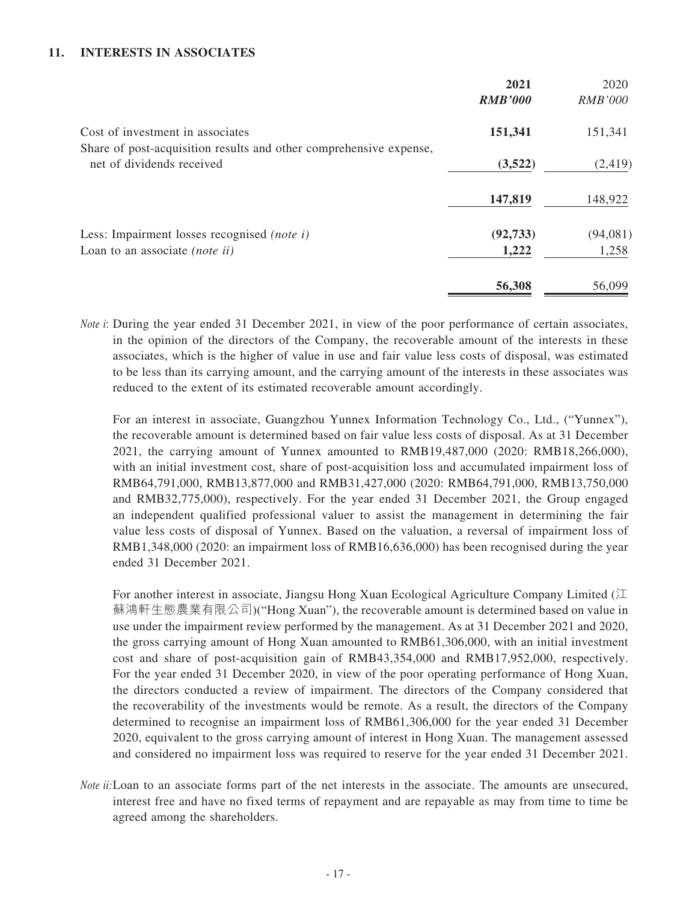#### **11. INTERESTS IN ASSOCIATES**

|                                                                                                 | 2021<br><b>RMB'000</b> | 2020<br><b>RMB'000</b> |
|-------------------------------------------------------------------------------------------------|------------------------|------------------------|
| Cost of investment in associates                                                                | 151,341                | 151,341                |
| Share of post-acquisition results and other comprehensive expense,<br>net of dividends received | (3,522)                | (2, 419)               |
|                                                                                                 | 147,819                | 148,922                |
| Less: Impairment losses recognised <i>(note i)</i>                                              | (92, 733)              | (94,081)               |
| Loan to an associate ( <i>note ii</i> )                                                         | 1,222                  | 1,258                  |
|                                                                                                 | 56,308                 | 56,099                 |

*Note i*: During the year ended 31 December 2021, in view of the poor performance of certain associates, in the opinion of the directors of the Company, the recoverable amount of the interests in these associates, which is the higher of value in use and fair value less costs of disposal, was estimated to be less than its carrying amount, and the carrying amount of the interests in these associates was reduced to the extent of its estimated recoverable amount accordingly.

For an interest in associate, Guangzhou Yunnex Information Technology Co., Ltd., ("Yunnex"), the recoverable amount is determined based on fair value less costs of disposal. As at 31 December 2021, the carrying amount of Yunnex amounted to RMB19,487,000 (2020: RMB18,266,000), with an initial investment cost, share of post-acquisition loss and accumulated impairment loss of RMB64,791,000, RMB13,877,000 and RMB31,427,000 (2020: RMB64,791,000, RMB13,750,000 and RMB32,775,000), respectively. For the year ended 31 December 2021, the Group engaged an independent qualified professional valuer to assist the management in determining the fair value less costs of disposal of Yunnex. Based on the valuation, a reversal of impairment loss of RMB1,348,000 (2020: an impairment loss of RMB16,636,000) has been recognised during the year ended 31 December 2021.

For another interest in associate, Jiangsu Hong Xuan Ecological Agriculture Company Limited  $(\Pi)$ 蘇鴻軒生態農業有限公司)("Hong Xuan"), the recoverable amount is determined based on value in use under the impairment review performed by the management. As at 31 December 2021 and 2020, the gross carrying amount of Hong Xuan amounted to RMB61,306,000, with an initial investment cost and share of post-acquisition gain of RMB43,354,000 and RMB17,952,000, respectively. For the year ended 31 December 2020, in view of the poor operating performance of Hong Xuan, the directors conducted a review of impairment. The directors of the Company considered that the recoverability of the investments would be remote. As a result, the directors of the Company determined to recognise an impairment loss of RMB61,306,000 for the year ended 31 December 2020, equivalent to the gross carrying amount of interest in Hong Xuan. The management assessed and considered no impairment loss was required to reserve for the year ended 31 December 2021.

*Note ii:*Loan to an associate forms part of the net interests in the associate. The amounts are unsecured, interest free and have no fixed terms of repayment and are repayable as may from time to time be agreed among the shareholders.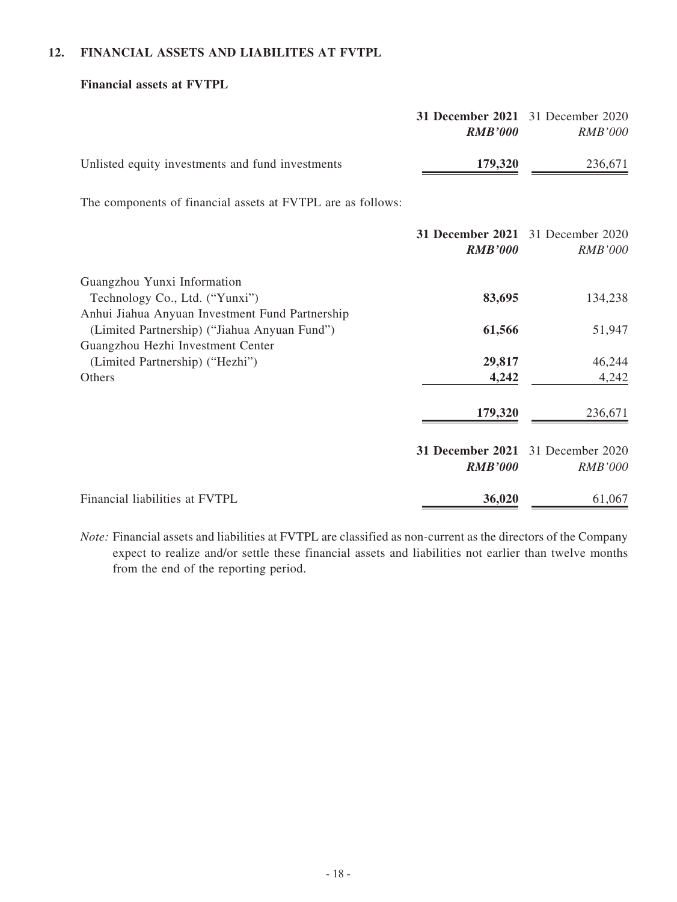## **12. FINANCIAL ASSETS AND LIABILITES AT FVTPL**

#### **Financial assets at FVTPL**

|                                                                                                                  | <b>31 December 2021</b><br><b>RMB'000</b> | 31 December 2020<br><b>RMB'000</b>                  |
|------------------------------------------------------------------------------------------------------------------|-------------------------------------------|-----------------------------------------------------|
| Unlisted equity investments and fund investments                                                                 | 179,320                                   | 236,671                                             |
| The components of financial assets at FVTPL are as follows:                                                      |                                           |                                                     |
|                                                                                                                  | <b>RMB'000</b>                            | 31 December 2021 31 December 2020<br><b>RMB'000</b> |
| Guangzhou Yunxi Information<br>Technology Co., Ltd. ("Yunxi")<br>Anhui Jiahua Anyuan Investment Fund Partnership | 83,695                                    | 134,238                                             |
| (Limited Partnership) ("Jiahua Anyuan Fund")<br>Guangzhou Hezhi Investment Center                                | 61,566                                    | 51,947                                              |
| (Limited Partnership) ("Hezhi")<br>Others                                                                        | 29,817<br>4,242                           | 46,244<br>4,242                                     |
|                                                                                                                  | 179,320                                   | 236,671                                             |
|                                                                                                                  | 31 December 2021<br><b>RMB'000</b>        | 31 December 2020<br><b>RMB'000</b>                  |
| Financial liabilities at FVTPL                                                                                   | 36,020                                    | 61,067                                              |

*Note:* Financial assets and liabilities at FVTPL are classified as non-current as the directors of the Company expect to realize and/or settle these financial assets and liabilities not earlier than twelve months from the end of the reporting period.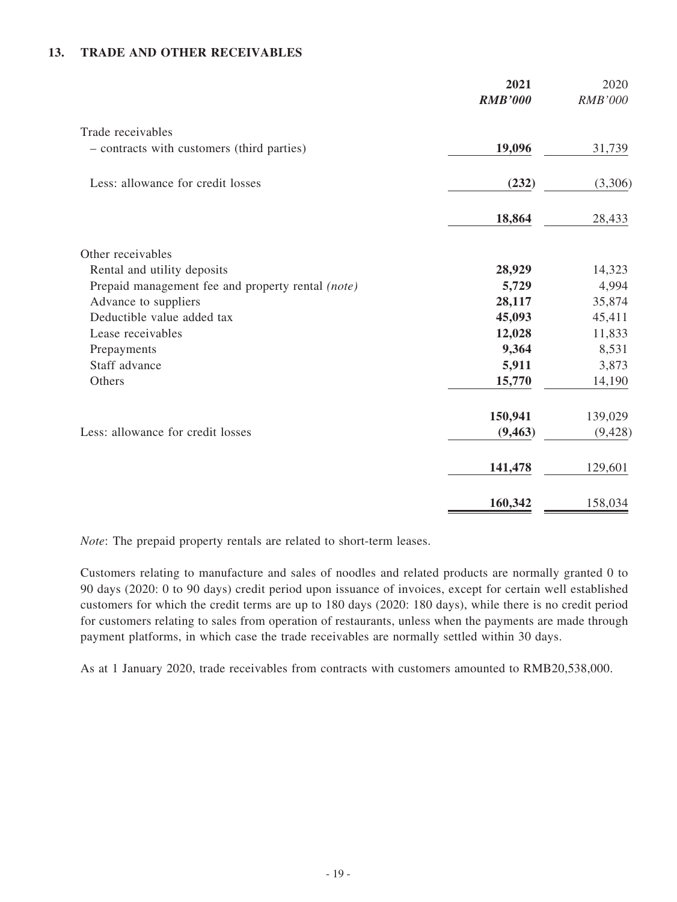#### **13. TRADE AND OTHER RECEIVABLES**

|                                                   | 2021<br><b>RMB'000</b> | 2020<br><b>RMB'000</b> |
|---------------------------------------------------|------------------------|------------------------|
| Trade receivables                                 |                        |                        |
| - contracts with customers (third parties)        | 19,096                 | 31,739                 |
| Less: allowance for credit losses                 | (232)                  | (3,306)                |
|                                                   | 18,864                 | 28,433                 |
| Other receivables                                 |                        |                        |
| Rental and utility deposits                       | 28,929                 | 14,323                 |
| Prepaid management fee and property rental (note) | 5,729                  | 4,994                  |
| Advance to suppliers                              | 28,117                 | 35,874                 |
| Deductible value added tax                        | 45,093                 | 45,411                 |
| Lease receivables                                 | 12,028                 | 11,833                 |
| Prepayments                                       | 9,364                  | 8,531                  |
| Staff advance                                     | 5,911                  | 3,873                  |
| Others                                            | 15,770                 | 14,190                 |
|                                                   | 150,941                | 139,029                |
| Less: allowance for credit losses                 | (9, 463)               | (9, 428)               |
|                                                   | 141,478                | 129,601                |
|                                                   | 160,342                | 158,034                |

*Note*: The prepaid property rentals are related to short-term leases.

Customers relating to manufacture and sales of noodles and related products are normally granted 0 to 90 days (2020: 0 to 90 days) credit period upon issuance of invoices, except for certain well established customers for which the credit terms are up to 180 days (2020: 180 days), while there is no credit period for customers relating to sales from operation of restaurants, unless when the payments are made through payment platforms, in which case the trade receivables are normally settled within 30 days.

As at 1 January 2020, trade receivables from contracts with customers amounted to RMB20,538,000.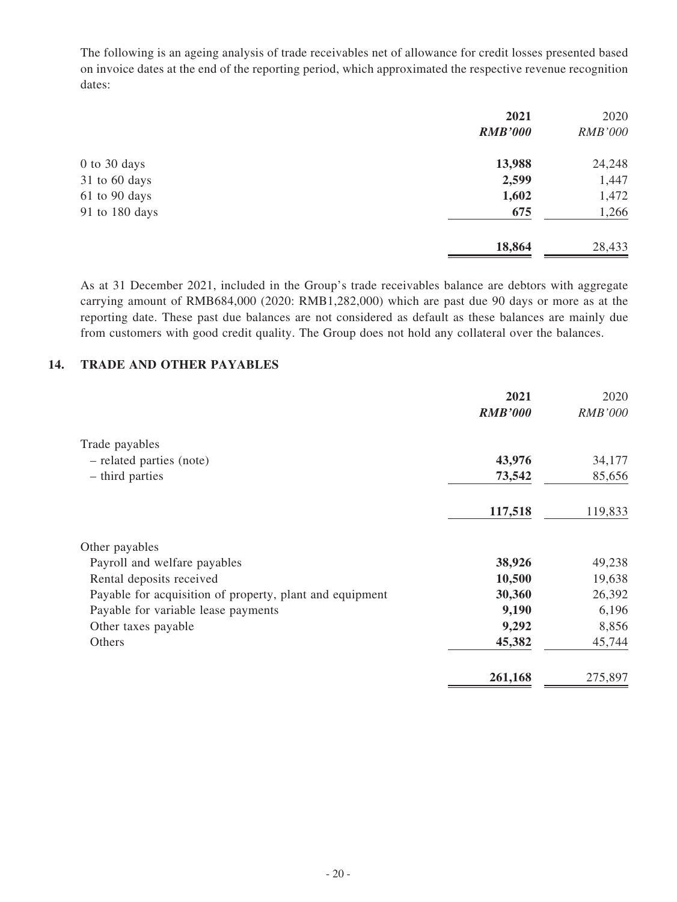The following is an ageing analysis of trade receivables net of allowance for credit losses presented based on invoice dates at the end of the reporting period, which approximated the respective revenue recognition dates:

|                | 2021           | 2020           |
|----------------|----------------|----------------|
|                | <b>RMB'000</b> | <b>RMB'000</b> |
| 0 to 30 days   | 13,988         | 24,248         |
| 31 to 60 days  | 2,599          | 1,447          |
| 61 to 90 days  | 1,602          | 1,472          |
| 91 to 180 days | 675            | 1,266          |
|                | 18,864         | 28,433         |

As at 31 December 2021, included in the Group's trade receivables balance are debtors with aggregate carrying amount of RMB684,000 (2020: RMB1,282,000) which are past due 90 days or more as at the reporting date. These past due balances are not considered as default as these balances are mainly due from customers with good credit quality. The Group does not hold any collateral over the balances.

#### **14. TRADE AND OTHER PAYABLES**

|                                                          | 2021<br><b>RMB'000</b> | 2020<br><b>RMB'000</b> |
|----------------------------------------------------------|------------------------|------------------------|
| Trade payables                                           |                        |                        |
| - related parties (note)                                 | 43,976                 | 34,177                 |
| - third parties                                          | 73,542                 | 85,656                 |
|                                                          | 117,518                | 119,833                |
| Other payables                                           |                        |                        |
| Payroll and welfare payables                             | 38,926                 | 49,238                 |
| Rental deposits received                                 | 10,500                 | 19,638                 |
| Payable for acquisition of property, plant and equipment | 30,360                 | 26,392                 |
| Payable for variable lease payments                      | 9,190                  | 6,196                  |
| Other taxes payable                                      | 9,292                  | 8,856                  |
| Others                                                   | 45,382                 | 45,744                 |
|                                                          | 261,168                | 275,897                |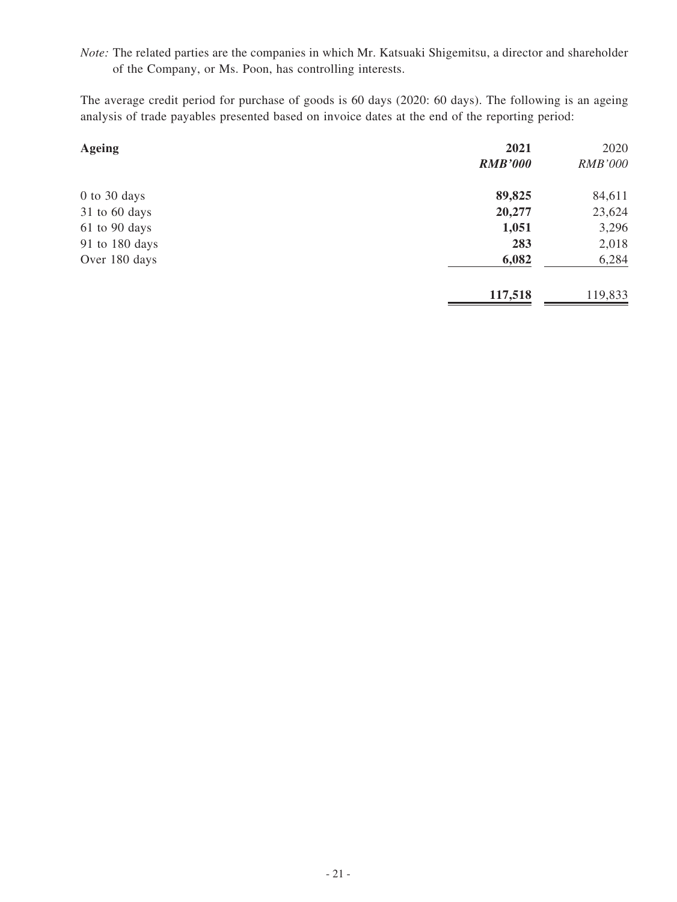*Note:* The related parties are the companies in which Mr. Katsuaki Shigemitsu, a director and shareholder of the Company, or Ms. Poon, has controlling interests.

The average credit period for purchase of goods is 60 days (2020: 60 days). The following is an ageing analysis of trade payables presented based on invoice dates at the end of the reporting period:

| <b>Ageing</b>  | 2021           | 2020           |
|----------------|----------------|----------------|
|                | <b>RMB'000</b> | <b>RMB'000</b> |
| $0$ to 30 days | 89,825         | 84,611         |
| 31 to 60 days  | 20,277         | 23,624         |
| 61 to 90 days  | 1,051          | 3,296          |
| 91 to 180 days | 283            | 2,018          |
| Over 180 days  | 6,082          | 6,284          |
|                | 117,518        | 119,833        |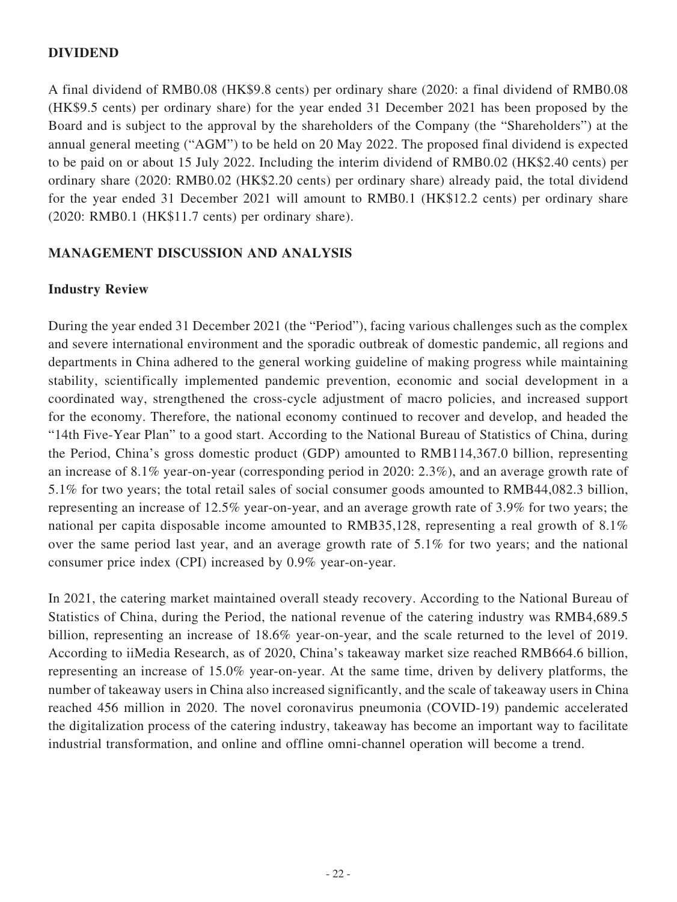### **DIVIDEND**

A final dividend of RMB0.08 (HK\$9.8 cents) per ordinary share (2020: a final dividend of RMB0.08 (HK\$9.5 cents) per ordinary share) for the year ended 31 December 2021 has been proposed by the Board and is subject to the approval by the shareholders of the Company (the "Shareholders") at the annual general meeting ("AGM") to be held on 20 May 2022. The proposed final dividend is expected to be paid on or about 15 July 2022. Including the interim dividend of RMB0.02 (HK\$2.40 cents) per ordinary share (2020: RMB0.02 (HK\$2.20 cents) per ordinary share) already paid, the total dividend for the year ended 31 December 2021 will amount to RMB0.1 (HK\$12.2 cents) per ordinary share (2020: RMB0.1 (HK\$11.7 cents) per ordinary share).

#### **MANAGEMENT DISCUSSION AND ANALYSIS**

#### **Industry Review**

During the year ended 31 December 2021 (the "Period"), facing various challenges such as the complex and severe international environment and the sporadic outbreak of domestic pandemic, all regions and departments in China adhered to the general working guideline of making progress while maintaining stability, scientifically implemented pandemic prevention, economic and social development in a coordinated way, strengthened the cross-cycle adjustment of macro policies, and increased support for the economy. Therefore, the national economy continued to recover and develop, and headed the "14th Five-Year Plan" to a good start. According to the National Bureau of Statistics of China, during the Period, China's gross domestic product (GDP) amounted to RMB114,367.0 billion, representing an increase of 8.1% year-on-year (corresponding period in 2020: 2.3%), and an average growth rate of 5.1% for two years; the total retail sales of social consumer goods amounted to RMB44,082.3 billion, representing an increase of 12.5% year-on-year, and an average growth rate of 3.9% for two years; the national per capita disposable income amounted to RMB35,128, representing a real growth of 8.1% over the same period last year, and an average growth rate of 5.1% for two years; and the national consumer price index (CPI) increased by 0.9% year-on-year.

In 2021, the catering market maintained overall steady recovery. According to the National Bureau of Statistics of China, during the Period, the national revenue of the catering industry was RMB4,689.5 billion, representing an increase of 18.6% year-on-year, and the scale returned to the level of 2019. According to iiMedia Research, as of 2020, China's takeaway market size reached RMB664.6 billion, representing an increase of 15.0% year-on-year. At the same time, driven by delivery platforms, the number of takeaway users in China also increased significantly, and the scale of takeaway users in China reached 456 million in 2020. The novel coronavirus pneumonia (COVID-19) pandemic accelerated the digitalization process of the catering industry, takeaway has become an important way to facilitate industrial transformation, and online and offline omni-channel operation will become a trend.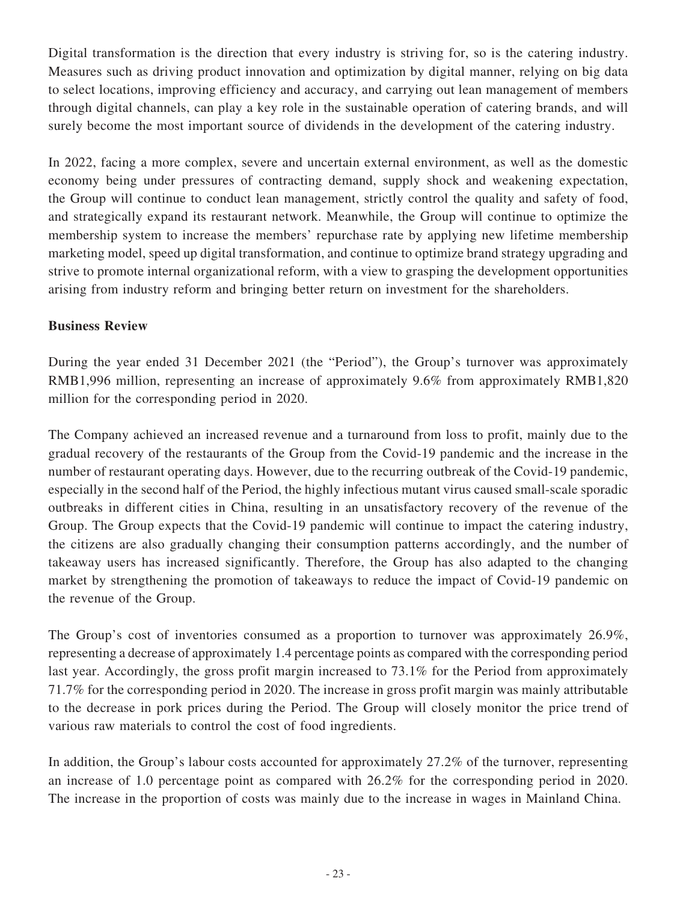Digital transformation is the direction that every industry is striving for, so is the catering industry. Measures such as driving product innovation and optimization by digital manner, relying on big data to select locations, improving efficiency and accuracy, and carrying out lean management of members through digital channels, can play a key role in the sustainable operation of catering brands, and will surely become the most important source of dividends in the development of the catering industry.

In 2022, facing a more complex, severe and uncertain external environment, as well as the domestic economy being under pressures of contracting demand, supply shock and weakening expectation, the Group will continue to conduct lean management, strictly control the quality and safety of food, and strategically expand its restaurant network. Meanwhile, the Group will continue to optimize the membership system to increase the members' repurchase rate by applying new lifetime membership marketing model, speed up digital transformation, and continue to optimize brand strategy upgrading and strive to promote internal organizational reform, with a view to grasping the development opportunities arising from industry reform and bringing better return on investment for the shareholders.

## **Business Review**

During the year ended 31 December 2021 (the "Period"), the Group's turnover was approximately RMB1,996 million, representing an increase of approximately 9.6% from approximately RMB1,820 million for the corresponding period in 2020.

The Company achieved an increased revenue and a turnaround from loss to profit, mainly due to the gradual recovery of the restaurants of the Group from the Covid-19 pandemic and the increase in the number of restaurant operating days. However, due to the recurring outbreak of the Covid-19 pandemic, especially in the second half of the Period, the highly infectious mutant virus caused small-scale sporadic outbreaks in different cities in China, resulting in an unsatisfactory recovery of the revenue of the Group. The Group expects that the Covid-19 pandemic will continue to impact the catering industry, the citizens are also gradually changing their consumption patterns accordingly, and the number of takeaway users has increased significantly. Therefore, the Group has also adapted to the changing market by strengthening the promotion of takeaways to reduce the impact of Covid-19 pandemic on the revenue of the Group.

The Group's cost of inventories consumed as a proportion to turnover was approximately 26.9%, representing a decrease of approximately 1.4 percentage points as compared with the corresponding period last year. Accordingly, the gross profit margin increased to 73.1% for the Period from approximately 71.7% for the corresponding period in 2020. The increase in gross profit margin was mainly attributable to the decrease in pork prices during the Period. The Group will closely monitor the price trend of various raw materials to control the cost of food ingredients.

In addition, the Group's labour costs accounted for approximately 27.2% of the turnover, representing an increase of 1.0 percentage point as compared with 26.2% for the corresponding period in 2020. The increase in the proportion of costs was mainly due to the increase in wages in Mainland China.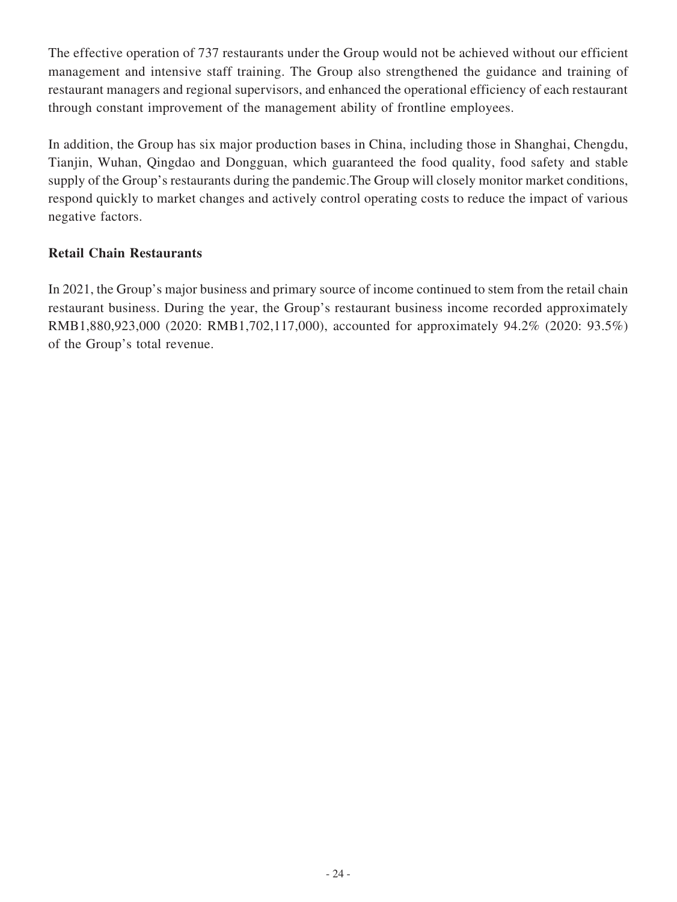The effective operation of 737 restaurants under the Group would not be achieved without our efficient management and intensive staff training. The Group also strengthened the guidance and training of restaurant managers and regional supervisors, and enhanced the operational efficiency of each restaurant through constant improvement of the management ability of frontline employees.

In addition, the Group has six major production bases in China, including those in Shanghai, Chengdu, Tianjin, Wuhan, Qingdao and Dongguan, which guaranteed the food quality, food safety and stable supply of the Group's restaurants during the pandemic.The Group will closely monitor market conditions, respond quickly to market changes and actively control operating costs to reduce the impact of various negative factors.

## **Retail Chain Restaurants**

In 2021, the Group's major business and primary source of income continued to stem from the retail chain restaurant business. During the year, the Group's restaurant business income recorded approximately RMB1,880,923,000 (2020: RMB1,702,117,000), accounted for approximately 94.2% (2020: 93.5%) of the Group's total revenue.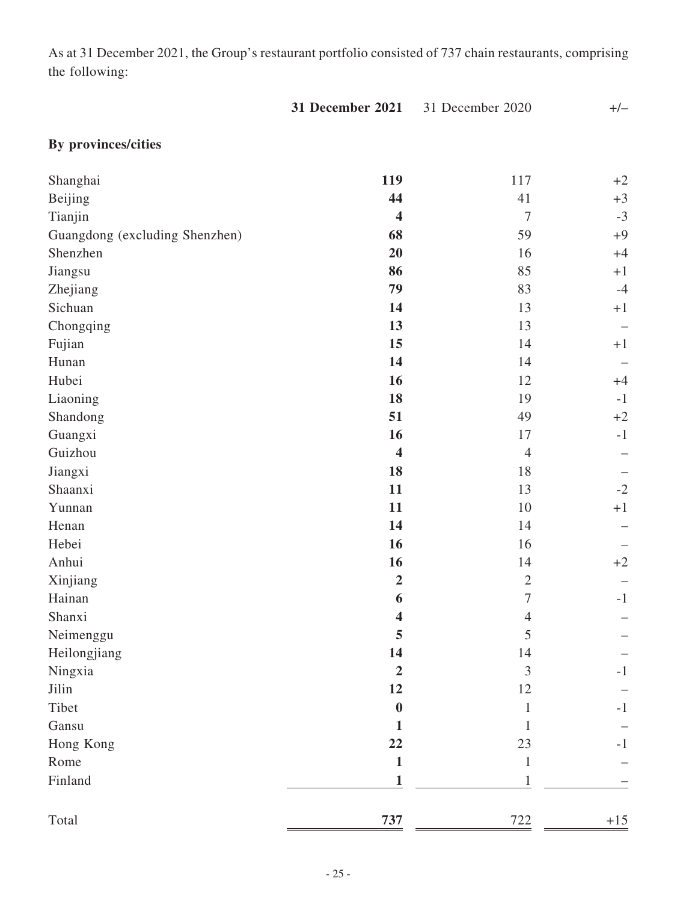As at 31 December 2021, the Group's restaurant portfolio consisted of 737 chain restaurants, comprising the following:

|                                | 31 December 2021        | 31 December 2020 | $+/-$ |
|--------------------------------|-------------------------|------------------|-------|
| By provinces/cities            |                         |                  |       |
| Shanghai                       | 119                     | 117              | $+2$  |
| Beijing                        | 44                      | 41               | $+3$  |
| Tianjin                        | $\overline{\mathbf{4}}$ | $\boldsymbol{7}$ | $-3$  |
| Guangdong (excluding Shenzhen) | 68                      | 59               | $+9$  |
| Shenzhen                       | 20                      | 16               | $+4$  |
| Jiangsu                        | 86                      | 85               | $+1$  |
| Zhejiang                       | 79                      | 83               | $-4$  |
| Sichuan                        | 14                      | 13               | $+1$  |
| Chongqing                      | 13                      | 13               |       |
| Fujian                         | 15                      | 14               | $+1$  |
| Hunan                          | 14                      | 14               |       |
| Hubei                          | 16                      | 12               | $+4$  |
| Liaoning                       | 18                      | 19               | $-1$  |
| Shandong                       | 51                      | 49               | $+2$  |
| Guangxi                        | 16                      | 17               | $-1$  |
| Guizhou                        | $\overline{\mathbf{4}}$ | $\overline{4}$   |       |
| Jiangxi                        | 18                      | 18               |       |
| Shaanxi                        | 11                      | 13               | $-2$  |
| Yunnan                         | 11                      | 10               | $+1$  |
| Henan                          | 14                      | 14               |       |
| Hebei                          | 16                      | 16               |       |
| Anhui                          | 16                      | 14               | $+2$  |
| Xinjiang                       | $\overline{2}$          | $\sqrt{2}$       |       |
| Hainan                         | 6                       | $\tau$           | $-1$  |
| Shanxi                         | 4                       | $\overline{4}$   |       |
| Neimenggu                      | 5                       | 5                |       |
| Heilongjiang                   | 14                      | 14               |       |
| Ningxia                        | $\overline{2}$          | $\mathfrak{Z}$   | -1    |
| Jilin                          | 12                      | 12               |       |
| Tibet                          | $\boldsymbol{0}$        | 1                | $-1$  |
| Gansu                          | 1                       | 1                |       |
| Hong Kong                      | 22                      | 23               | $-1$  |
| Rome                           | $\mathbf{1}$            | $\mathbf{1}$     |       |
| Finland                        | 1                       | 1                |       |
| Total                          | 737                     | 722              | $+15$ |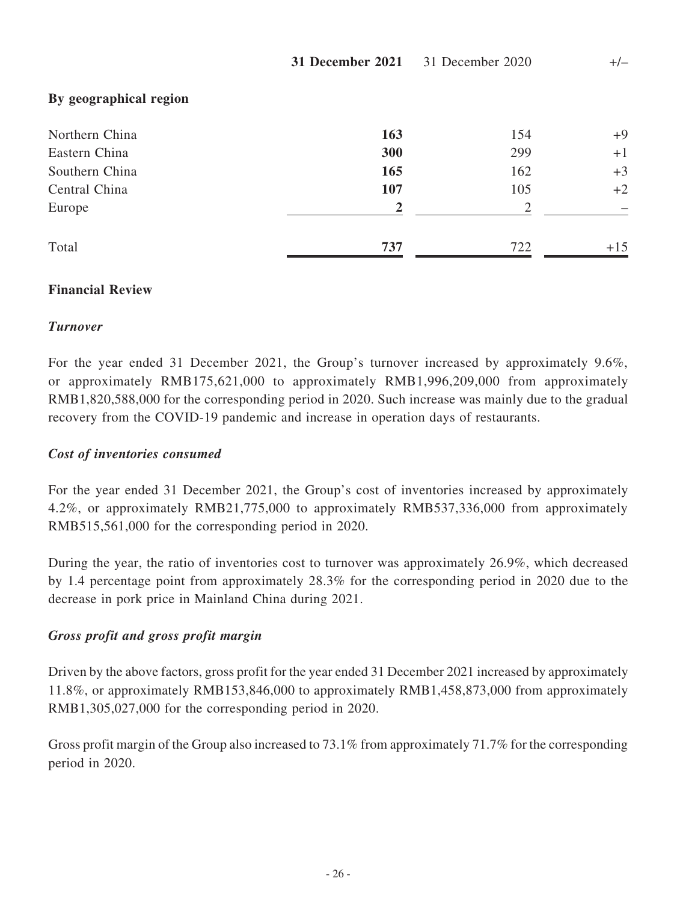|                        | 31 December 2021 | 31 December 2020 | $+/-$ |  |
|------------------------|------------------|------------------|-------|--|
| By geographical region |                  |                  |       |  |
| Northern China         | 163              | 154              | $+9$  |  |
| Eastern China          | 300              | 299              | $+1$  |  |
| Southern China         | 165              | 162              | $+3$  |  |
| Central China          | 107              | 105              | $+2$  |  |
| Europe                 | 2                | 2                |       |  |
| Total                  | 737              | 722              | $+15$ |  |

## **Financial Review**

## *Turnover*

For the year ended 31 December 2021, the Group's turnover increased by approximately 9.6%, or approximately RMB175,621,000 to approximately RMB1,996,209,000 from approximately RMB1,820,588,000 for the corresponding period in 2020. Such increase was mainly due to the gradual recovery from the COVID-19 pandemic and increase in operation days of restaurants.

## *Cost of inventories consumed*

For the year ended 31 December 2021, the Group's cost of inventories increased by approximately 4.2%, or approximately RMB21,775,000 to approximately RMB537,336,000 from approximately RMB515,561,000 for the corresponding period in 2020.

During the year, the ratio of inventories cost to turnover was approximately 26.9%, which decreased by 1.4 percentage point from approximately 28.3% for the corresponding period in 2020 due to the decrease in pork price in Mainland China during 2021.

## *Gross profit and gross profit margin*

Driven by the above factors, gross profit for the year ended 31 December 2021 increased by approximately 11.8%, or approximately RMB153,846,000 to approximately RMB1,458,873,000 from approximately RMB1,305,027,000 for the corresponding period in 2020.

Gross profit margin of the Group also increased to 73.1% from approximately 71.7% for the corresponding period in 2020.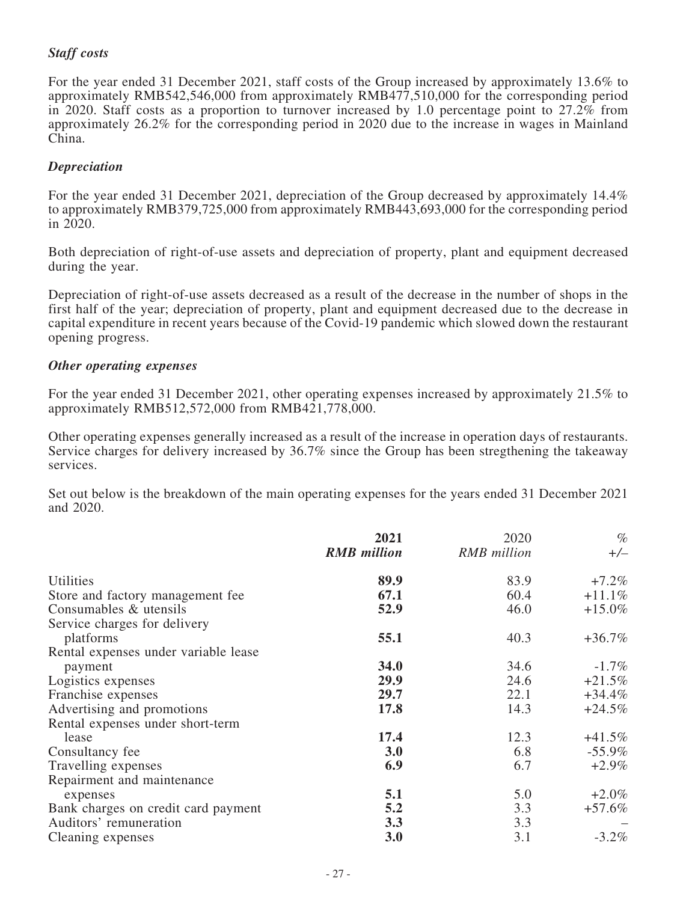## *Staff costs*

For the year ended 31 December 2021, staff costs of the Group increased by approximately 13.6% to approximately RMB542,546,000 from approximately RMB477,510,000 for the corresponding period in 2020. Staff costs as a proportion to turnover increased by 1.0 percentage point to 27.2% from approximately 26.2% for the corresponding period in 2020 due to the increase in wages in Mainland China.

#### *Depreciation*

For the year ended 31 December 2021, depreciation of the Group decreased by approximately 14.4% to approximately RMB379,725,000 from approximately RMB443,693,000 for the corresponding period in 2020.

Both depreciation of right-of-use assets and depreciation of property, plant and equipment decreased during the year.

Depreciation of right-of-use assets decreased as a result of the decrease in the number of shops in the first half of the year; depreciation of property, plant and equipment decreased due to the decrease in capital expenditure in recent years because of the Covid-19 pandemic which slowed down the restaurant opening progress.

#### *Other operating expenses*

For the year ended 31 December 2021, other operating expenses increased by approximately 21.5% to approximately RMB512,572,000 from RMB421,778,000.

Other operating expenses generally increased as a result of the increase in operation days of restaurants. Service charges for delivery increased by 36.7% since the Group has been stregthening the takeaway services.

Set out below is the breakdown of the main operating expenses for the years ended 31 December 2021 and 2020.

|                                      | 2021               | 2020               | $\%$      |
|--------------------------------------|--------------------|--------------------|-----------|
|                                      | <b>RMB</b> million | <b>RMB</b> million | $+/-$     |
| Utilities                            | 89.9               | 83.9               | $+7.2\%$  |
| Store and factory management fee     | 67.1               | 60.4               | $+11.1%$  |
| Consumables & utensils               | 52.9               | 46.0               | $+15.0\%$ |
| Service charges for delivery         |                    |                    |           |
| platforms                            | 55.1               | 40.3               | $+36.7%$  |
| Rental expenses under variable lease |                    |                    |           |
| payment                              | 34.0               | 34.6               | $-1.7\%$  |
| Logistics expenses                   | 29.9               | 24.6               | $+21.5%$  |
| Franchise expenses                   | 29.7               | 22.1               | $+34.4%$  |
| Advertising and promotions           | 17.8               | 14.3               | $+24.5%$  |
| Rental expenses under short-term     |                    |                    |           |
| lease                                | 17.4               | 12.3               | $+41.5%$  |
| Consultancy fee                      | 3.0                | 6.8                | $-55.9\%$ |
| Travelling expenses                  | 6.9                | 6.7                | $+2.9\%$  |
| Repairment and maintenance           |                    |                    |           |
| expenses                             | 5.1                | 5.0                | $+2.0\%$  |
| Bank charges on credit card payment  | 5.2                | 3.3                | $+57.6%$  |
| Auditors' remuneration               | 3.3                | 3.3                |           |
| Cleaning expenses                    | 3.0                | 3.1                | $-3.2\%$  |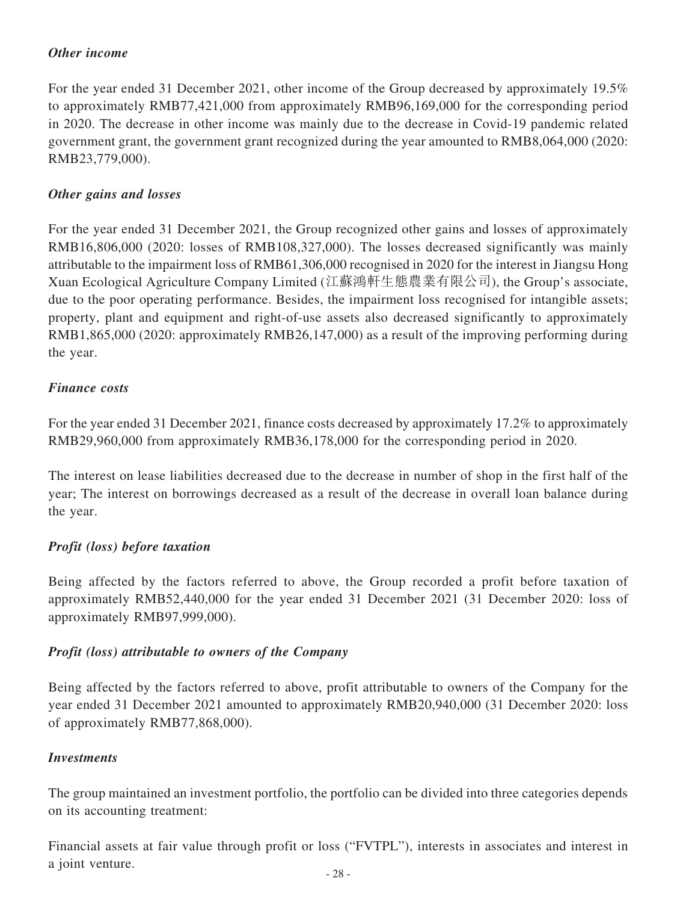## *Other income*

For the year ended 31 December 2021, other income of the Group decreased by approximately 19.5% to approximately RMB77,421,000 from approximately RMB96,169,000 for the corresponding period in 2020. The decrease in other income was mainly due to the decrease in Covid-19 pandemic related government grant, the government grant recognized during the year amounted to RMB8,064,000 (2020: RMB23,779,000).

## *Other gains and losses*

For the year ended 31 December 2021, the Group recognized other gains and losses of approximately RMB16,806,000 (2020: losses of RMB108,327,000). The losses decreased significantly was mainly attributable to the impairment loss of RMB61,306,000 recognised in 2020 for the interest in Jiangsu Hong Xuan Ecological Agriculture Company Limited (江蘇鴻軒生態農業有限公司), the Group's associate, due to the poor operating performance. Besides, the impairment loss recognised for intangible assets; property, plant and equipment and right-of-use assets also decreased significantly to approximately RMB1,865,000 (2020: approximately RMB26,147,000) as a result of the improving performing during the year.

## *Finance costs*

For the year ended 31 December 2021, finance costs decreased by approximately 17.2% to approximately RMB29,960,000 from approximately RMB36,178,000 for the corresponding period in 2020.

The interest on lease liabilities decreased due to the decrease in number of shop in the first half of the year; The interest on borrowings decreased as a result of the decrease in overall loan balance during the year.

## *Profit (loss) before taxation*

Being affected by the factors referred to above, the Group recorded a profit before taxation of approximately RMB52,440,000 for the year ended 31 December 2021 (31 December 2020: loss of approximately RMB97,999,000).

## *Profit (loss) attributable to owners of the Company*

Being affected by the factors referred to above, profit attributable to owners of the Company for the year ended 31 December 2021 amounted to approximately RMB20,940,000 (31 December 2020: loss of approximately RMB77,868,000).

## *Investments*

The group maintained an investment portfolio, the portfolio can be divided into three categories depends on its accounting treatment:

Financial assets at fair value through profit or loss ("FVTPL"), interests in associates and interest in a joint venture.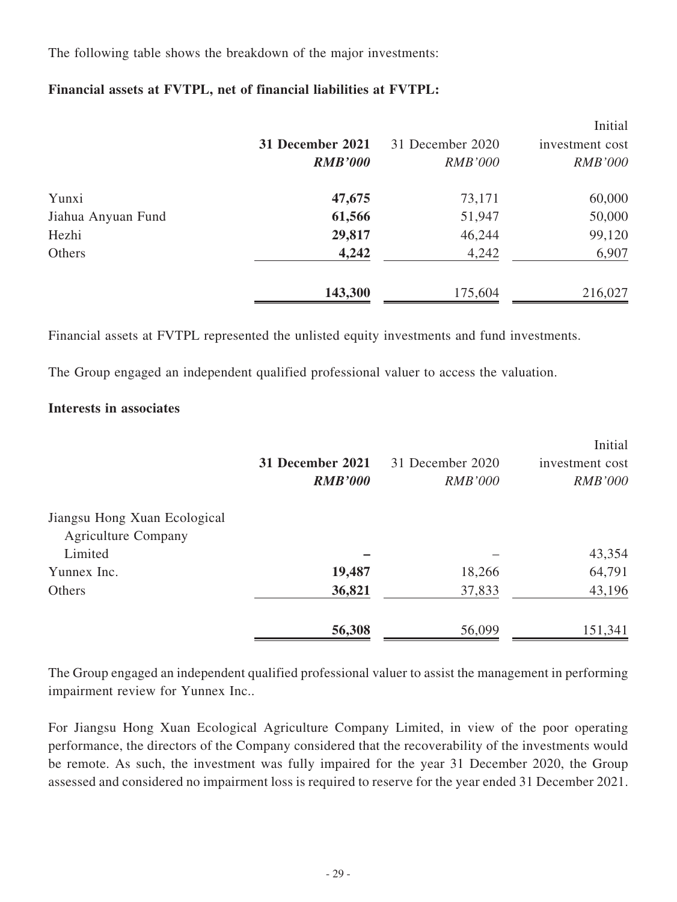The following table shows the breakdown of the major investments:

## **Financial assets at FVTPL, net of financial liabilities at FVTPL:**

|                    |                  |                  | Initial         |
|--------------------|------------------|------------------|-----------------|
|                    | 31 December 2021 | 31 December 2020 | investment cost |
|                    | <b>RMB'000</b>   | <b>RMB'000</b>   | <b>RMB'000</b>  |
| Yunxi              | 47,675           | 73,171           | 60,000          |
| Jiahua Anyuan Fund | 61,566           | 51,947           | 50,000          |
| Hezhi              | 29,817           | 46,244           | 99,120          |
| Others             | 4,242            | 4,242            | 6,907           |
|                    | 143,300          | 175,604          | 216,027         |

Financial assets at FVTPL represented the unlisted equity investments and fund investments.

The Group engaged an independent qualified professional valuer to access the valuation.

## **Interests in associates**

|                              |                  |                  | Initial         |
|------------------------------|------------------|------------------|-----------------|
|                              | 31 December 2021 | 31 December 2020 | investment cost |
|                              | <b>RMB'000</b>   | <i>RMB'000</i>   | <i>RMB'000</i>  |
| Jiangsu Hong Xuan Ecological |                  |                  |                 |
| <b>Agriculture Company</b>   |                  |                  |                 |
| Limited                      |                  |                  | 43,354          |
| Yunnex Inc.                  | 19,487           | 18,266           | 64,791          |
| Others                       | 36,821           | 37,833           | 43,196          |
|                              | 56,308           | 56,099           | 151,341         |

The Group engaged an independent qualified professional valuer to assist the management in performing impairment review for Yunnex Inc..

For Jiangsu Hong Xuan Ecological Agriculture Company Limited, in view of the poor operating performance, the directors of the Company considered that the recoverability of the investments would be remote. As such, the investment was fully impaired for the year 31 December 2020, the Group assessed and considered no impairment loss is required to reserve for the year ended 31 December 2021.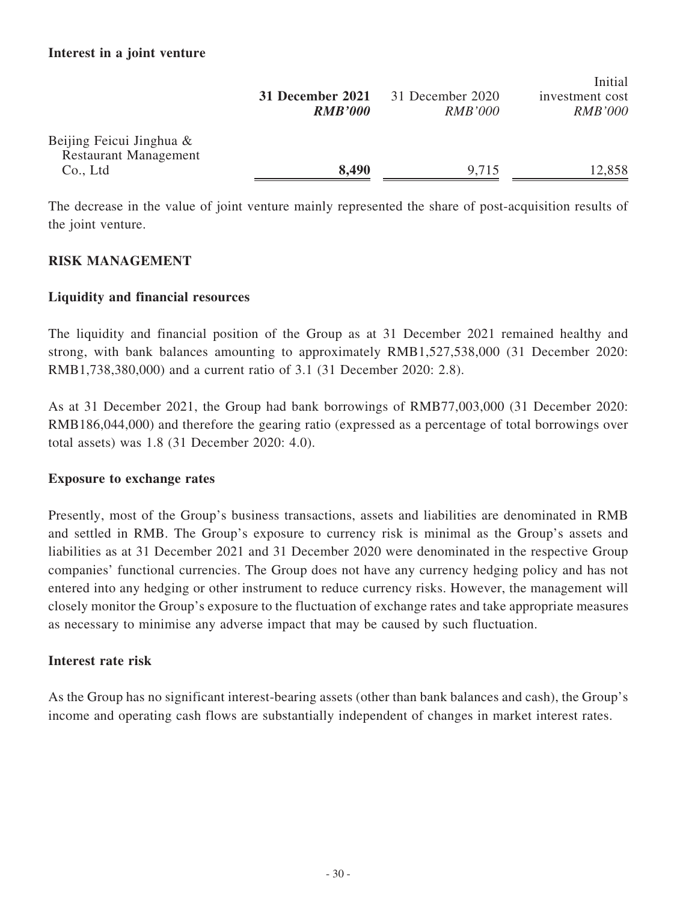|                                                             | 31 December 2021<br><b>RMB'000</b> | 31 December 2020<br><i>RMB'000</i> | Initial<br>investment cost<br><i>RMB'000</i> |
|-------------------------------------------------------------|------------------------------------|------------------------------------|----------------------------------------------|
| Beijing Feicui Jinghua $\&$<br><b>Restaurant Management</b> |                                    |                                    |                                              |
| Co., Ltd                                                    | 8,490                              | 9,715                              | 12,858                                       |

 $\mathbf{r}$  is the set

The decrease in the value of joint venture mainly represented the share of post-acquisition results of the joint venture.

## **RISK MANAGEMENT**

## **Liquidity and financial resources**

The liquidity and financial position of the Group as at 31 December 2021 remained healthy and strong, with bank balances amounting to approximately RMB1,527,538,000 (31 December 2020: RMB1,738,380,000) and a current ratio of 3.1 (31 December 2020: 2.8).

As at 31 December 2021, the Group had bank borrowings of RMB77,003,000 (31 December 2020: RMB186,044,000) and therefore the gearing ratio (expressed as a percentage of total borrowings over total assets) was 1.8 (31 December 2020: 4.0).

## **Exposure to exchange rates**

Presently, most of the Group's business transactions, assets and liabilities are denominated in RMB and settled in RMB. The Group's exposure to currency risk is minimal as the Group's assets and liabilities as at 31 December 2021 and 31 December 2020 were denominated in the respective Group companies' functional currencies. The Group does not have any currency hedging policy and has not entered into any hedging or other instrument to reduce currency risks. However, the management will closely monitor the Group's exposure to the fluctuation of exchange rates and take appropriate measures as necessary to minimise any adverse impact that may be caused by such fluctuation.

## **Interest rate risk**

As the Group has no significant interest-bearing assets (other than bank balances and cash), the Group's income and operating cash flows are substantially independent of changes in market interest rates.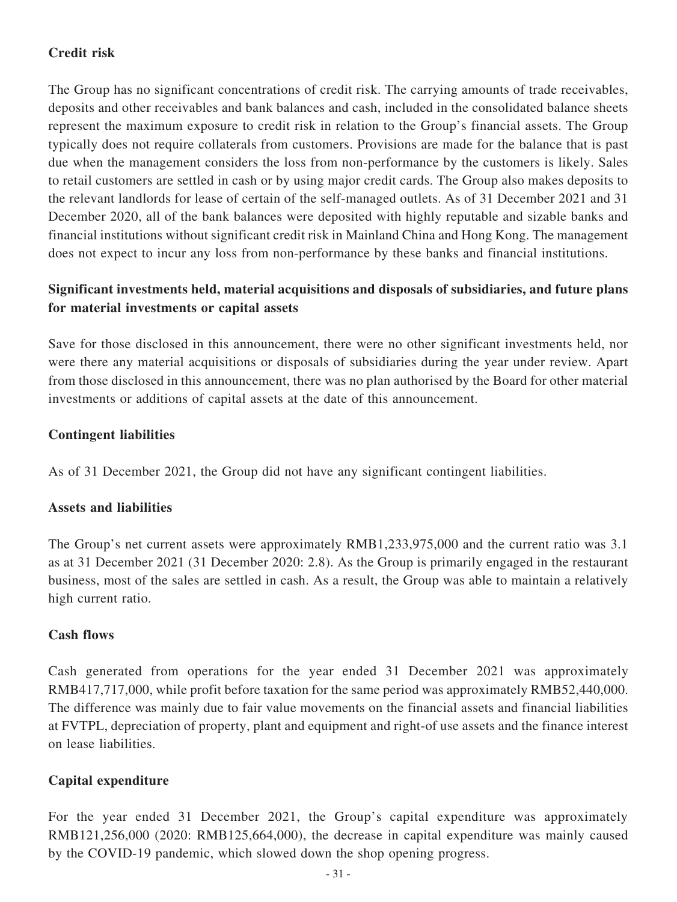## **Credit risk**

The Group has no significant concentrations of credit risk. The carrying amounts of trade receivables, deposits and other receivables and bank balances and cash, included in the consolidated balance sheets represent the maximum exposure to credit risk in relation to the Group's financial assets. The Group typically does not require collaterals from customers. Provisions are made for the balance that is past due when the management considers the loss from non-performance by the customers is likely. Sales to retail customers are settled in cash or by using major credit cards. The Group also makes deposits to the relevant landlords for lease of certain of the self-managed outlets. As of 31 December 2021 and 31 December 2020, all of the bank balances were deposited with highly reputable and sizable banks and financial institutions without significant credit risk in Mainland China and Hong Kong. The management does not expect to incur any loss from non-performance by these banks and financial institutions.

## **Significant investments held, material acquisitions and disposals of subsidiaries, and future plans for material investments or capital assets**

Save for those disclosed in this announcement, there were no other significant investments held, nor were there any material acquisitions or disposals of subsidiaries during the year under review. Apart from those disclosed in this announcement, there was no plan authorised by the Board for other material investments or additions of capital assets at the date of this announcement.

## **Contingent liabilities**

As of 31 December 2021, the Group did not have any significant contingent liabilities.

#### **Assets and liabilities**

The Group's net current assets were approximately RMB1,233,975,000 and the current ratio was 3.1 as at 31 December 2021 (31 December 2020: 2.8). As the Group is primarily engaged in the restaurant business, most of the sales are settled in cash. As a result, the Group was able to maintain a relatively high current ratio.

#### **Cash flows**

Cash generated from operations for the year ended 31 December 2021 was approximately RMB417,717,000, while profit before taxation for the same period was approximately RMB52,440,000. The difference was mainly due to fair value movements on the financial assets and financial liabilities at FVTPL, depreciation of property, plant and equipment and right-of use assets and the finance interest on lease liabilities.

## **Capital expenditure**

For the year ended 31 December 2021, the Group's capital expenditure was approximately RMB121,256,000 (2020: RMB125,664,000), the decrease in capital expenditure was mainly caused by the COVID-19 pandemic, which slowed down the shop opening progress.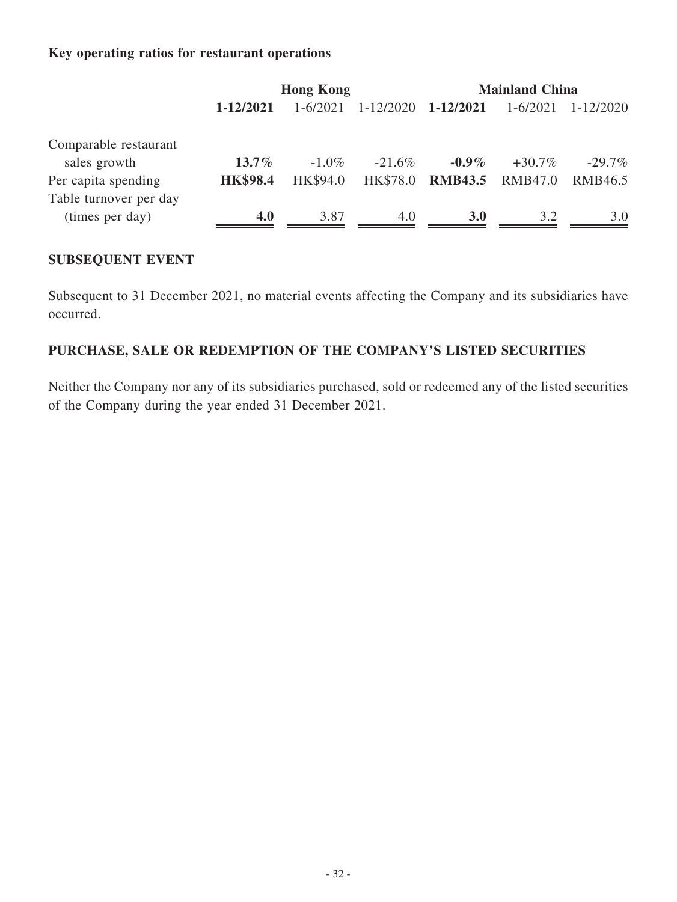## **Key operating ratios for restaurant operations**

|                                           | <b>Hong Kong</b> |          | <b>Mainland China</b> |                |           |           |
|-------------------------------------------|------------------|----------|-----------------------|----------------|-----------|-----------|
|                                           | 1-12/2021        | 1-6/2021 | 1-12/2020             | 1-12/2021      | 1-6/2021  | 1-12/2020 |
| Comparable restaurant<br>sales growth     | $13.7\%$         | $-1.0\%$ | $-21.6\%$             | $-0.9\%$       | $+30.7\%$ | $-29.7\%$ |
| Per capita spending                       | <b>HK\$98.4</b>  | HK\$94.0 | HK\$78.0              | <b>RMB43.5</b> | RMB47.0   | RMB46.5   |
| Table turnover per day<br>(times per day) | 4.0              | 3.87     | 4.0                   | <b>3.0</b>     | 3.2       | 3.0       |

## **SUBSEQUENT EVENT**

Subsequent to 31 December 2021, no material events affecting the Company and its subsidiaries have occurred.

## **PURCHASE, SALE OR REDEMPTION OF THE COMPANY'S LISTED SECURITIES**

Neither the Company nor any of its subsidiaries purchased, sold or redeemed any of the listed securities of the Company during the year ended 31 December 2021.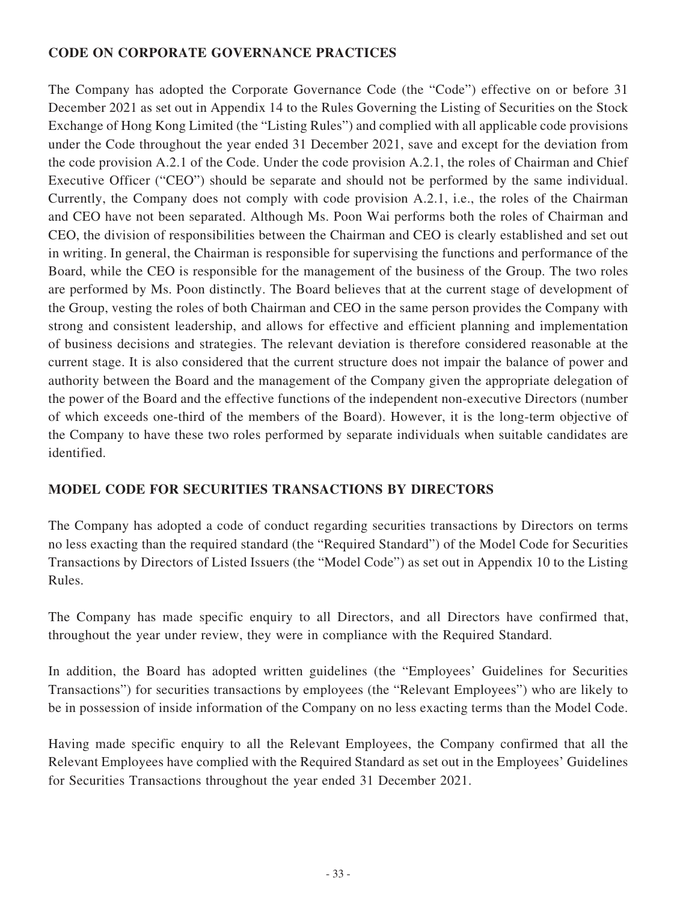## **CODE ON CORPORATE GOVERNANCE PRACTICES**

The Company has adopted the Corporate Governance Code (the "Code") effective on or before 31 December 2021 as set out in Appendix 14 to the Rules Governing the Listing of Securities on the Stock Exchange of Hong Kong Limited (the "Listing Rules") and complied with all applicable code provisions under the Code throughout the year ended 31 December 2021, save and except for the deviation from the code provision A.2.1 of the Code. Under the code provision A.2.1, the roles of Chairman and Chief Executive Officer ("CEO") should be separate and should not be performed by the same individual. Currently, the Company does not comply with code provision A.2.1, i.e., the roles of the Chairman and CEO have not been separated. Although Ms. Poon Wai performs both the roles of Chairman and CEO, the division of responsibilities between the Chairman and CEO is clearly established and set out in writing. In general, the Chairman is responsible for supervising the functions and performance of the Board, while the CEO is responsible for the management of the business of the Group. The two roles are performed by Ms. Poon distinctly. The Board believes that at the current stage of development of the Group, vesting the roles of both Chairman and CEO in the same person provides the Company with strong and consistent leadership, and allows for effective and efficient planning and implementation of business decisions and strategies. The relevant deviation is therefore considered reasonable at the current stage. It is also considered that the current structure does not impair the balance of power and authority between the Board and the management of the Company given the appropriate delegation of the power of the Board and the effective functions of the independent non-executive Directors (number of which exceeds one-third of the members of the Board). However, it is the long-term objective of the Company to have these two roles performed by separate individuals when suitable candidates are identified.

## **MODEL CODE FOR SECURITIES TRANSACTIONS BY DIRECTORS**

The Company has adopted a code of conduct regarding securities transactions by Directors on terms no less exacting than the required standard (the "Required Standard") of the Model Code for Securities Transactions by Directors of Listed Issuers (the "Model Code") as set out in Appendix 10 to the Listing Rules.

The Company has made specific enquiry to all Directors, and all Directors have confirmed that, throughout the year under review, they were in compliance with the Required Standard.

In addition, the Board has adopted written guidelines (the "Employees' Guidelines for Securities Transactions") for securities transactions by employees (the "Relevant Employees") who are likely to be in possession of inside information of the Company on no less exacting terms than the Model Code.

Having made specific enquiry to all the Relevant Employees, the Company confirmed that all the Relevant Employees have complied with the Required Standard as set out in the Employees' Guidelines for Securities Transactions throughout the year ended 31 December 2021.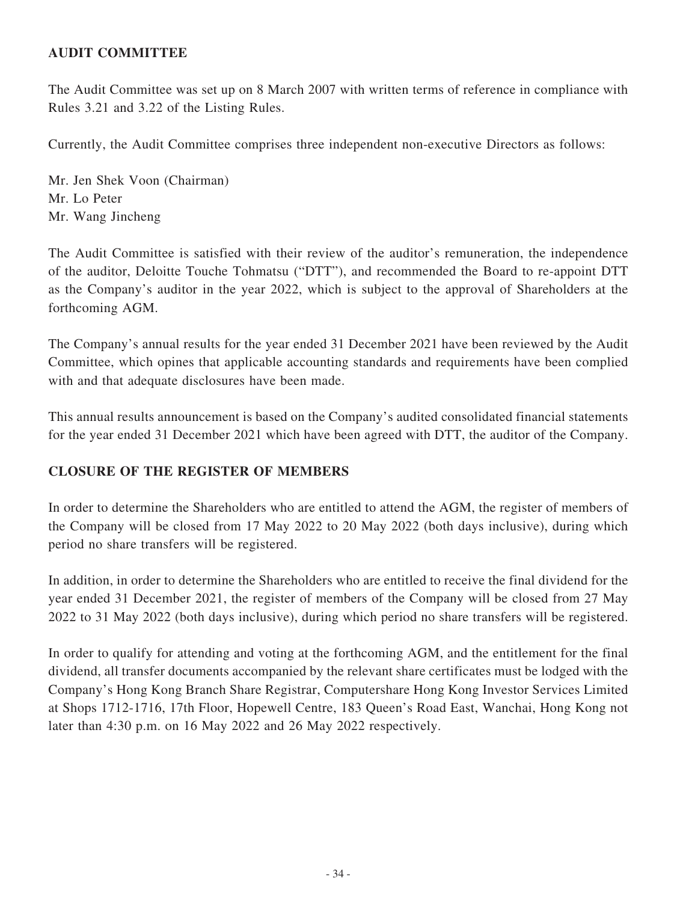## **AUDIT COMMITTEE**

The Audit Committee was set up on 8 March 2007 with written terms of reference in compliance with Rules 3.21 and 3.22 of the Listing Rules.

Currently, the Audit Committee comprises three independent non-executive Directors as follows:

Mr. Jen Shek Voon (Chairman) Mr. Lo Peter Mr. Wang Jincheng

The Audit Committee is satisfied with their review of the auditor's remuneration, the independence of the auditor, Deloitte Touche Tohmatsu ("DTT"), and recommended the Board to re-appoint DTT as the Company's auditor in the year 2022, which is subject to the approval of Shareholders at the forthcoming AGM.

The Company's annual results for the year ended 31 December 2021 have been reviewed by the Audit Committee, which opines that applicable accounting standards and requirements have been complied with and that adequate disclosures have been made.

This annual results announcement is based on the Company's audited consolidated financial statements for the year ended 31 December 2021 which have been agreed with DTT, the auditor of the Company.

## **CLOSURE OF THE REGISTER OF MEMBERS**

In order to determine the Shareholders who are entitled to attend the AGM, the register of members of the Company will be closed from 17 May 2022 to 20 May 2022 (both days inclusive), during which period no share transfers will be registered.

In addition, in order to determine the Shareholders who are entitled to receive the final dividend for the year ended 31 December 2021, the register of members of the Company will be closed from 27 May 2022 to 31 May 2022 (both days inclusive), during which period no share transfers will be registered.

In order to qualify for attending and voting at the forthcoming AGM, and the entitlement for the final dividend, all transfer documents accompanied by the relevant share certificates must be lodged with the Company's Hong Kong Branch Share Registrar, Computershare Hong Kong Investor Services Limited at Shops 1712-1716, 17th Floor, Hopewell Centre, 183 Queen's Road East, Wanchai, Hong Kong not later than 4:30 p.m. on 16 May 2022 and 26 May 2022 respectively.